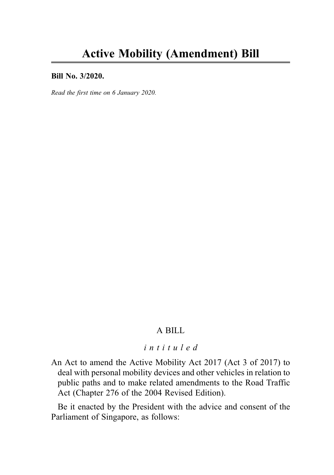#### Bill No. 3/2020.

Read the first time on 6 January 2020.

## A BILL

# intituled

An Act to amend the Active Mobility Act 2017 (Act 3 of 2017) to deal with personal mobility devices and other vehicles in relation to public paths and to make related amendments to the Road Traffic Act (Chapter 276 of the 2004 Revised Edition).

Be it enacted by the President with the advice and consent of the Parliament of Singapore, as follows: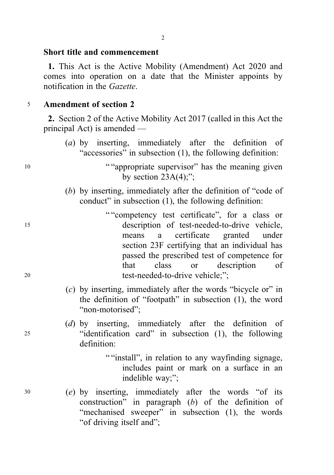#### Short title and commencement

1. This Act is the Active Mobility (Amendment) Act 2020 and comes into operation on a date that the Minister appoints by notification in the Gazette.

## <sup>5</sup> Amendment of section 2

2. Section 2 of the Active Mobility Act 2017 (called in this Act the principal Act) is amended —

(a) by inserting, immediately after the definition of "accessories" in subsection (1), the following definition:

<sup>10</sup> " "appropriate supervisor" has the meaning given by section  $23A(4)$ ;";

> (b) by inserting, immediately after the definition of "code of conduct" in subsection (1), the following definition:

" "competency test certificate", for a class or <sup>15</sup> description of test-needed-to-drive vehicle, means a certificate granted under section 23F certifying that an individual has passed the prescribed test of competence for that class or description of <sup>20</sup> test-needed-to-drive vehicle;";

> (c) by inserting, immediately after the words "bicycle or" in the definition of "footpath" in subsection (1), the word "non-motorised";

(d) by inserting, immediately after the definition of <sup>25</sup> "identification card" in subsection (1), the following definition:

> "" install", in relation to any wayfinding signage, includes paint or mark on a surface in an indelible way;";

<sup>30</sup> (e) by inserting, immediately after the words "of its construction" in paragraph (b) of the definition of "mechanised sweeper" in subsection (1), the words "of driving itself and";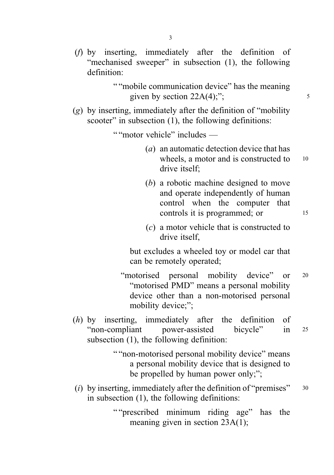(f) by inserting, immediately after the definition of "mechanised sweeper" in subsection (1), the following definition:

> " "mobile communication device" has the meaning given by section  $22A(4)$ ;";  $\qquad \qquad$  5

(g) by inserting, immediately after the definition of "mobility scooter" in subsection (1), the following definitions:

" "motor vehicle" includes —

- (a) an automatic detection device that has wheels, a motor and is constructed to 10 drive itself;
- (b) a robotic machine designed to move and operate independently of human control when the computer that controls it is programmed; or 15

(c) a motor vehicle that is constructed to drive itself,

but excludes a wheeled toy or model car that can be remotely operated;

- "motorised personal mobility device" or <sup>20</sup> "motorised PMD" means a personal mobility device other than a non-motorised personal mobility device;";
- (h) by inserting, immediately after the definition of "non-compliant power-assisted bicycle" in <sup>25</sup> subsection (1), the following definition:

" "non-motorised personal mobility device" means a personal mobility device that is designed to be propelled by human power only;";

(i) by inserting, immediately after the definition of "premises"  $30$ in subsection (1), the following definitions:

> " "prescribed minimum riding age" has the meaning given in section 23A(1);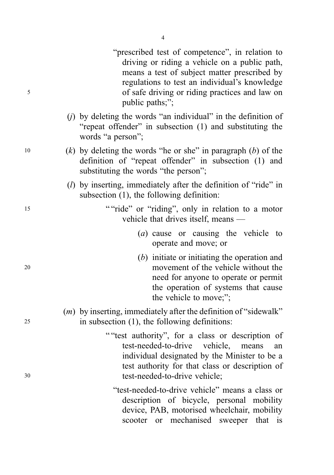"prescribed test of competence", in relation to driving or riding a vehicle on a public path, means a test of subject matter prescribed by regulations to test an individual's knowledge <sup>5</sup> of safe driving or riding practices and law on public paths;";

- $(i)$  by deleting the words "an individual" in the definition of "repeat offender" in subsection (1) and substituting the words "a person";
- 10  $(k)$  by deleting the words "he or she" in paragraph (b) of the definition of "repeat offender" in subsection (1) and substituting the words "the person";
	- ( $l$ ) by inserting, immediately after the definition of "ride" in subsection (1), the following definition:
- <sup>15</sup> " "ride" or "riding", only in relation to a motor vehicle that drives itself, means —
	- (a) cause or causing the vehicle to operate and move; or
- (b) initiate or initiating the operation and <sup>20</sup> movement of the vehicle without the need for anyone to operate or permit the operation of systems that cause the vehicle to move;";
- $(m)$  by inserting, immediately after the definition of "sidewalk" <sup>25</sup> in subsection (1), the following definitions:
- "" test authority", for a class or description of test-needed-to-drive vehicle, means an individual designated by the Minister to be a test authority for that class or description of <sup>30</sup> test-needed-to-drive vehicle;
	- "test-needed-to-drive vehicle" means a class or description of bicycle, personal mobility device, PAB, motorised wheelchair, mobility scooter or mechanised sweeper that is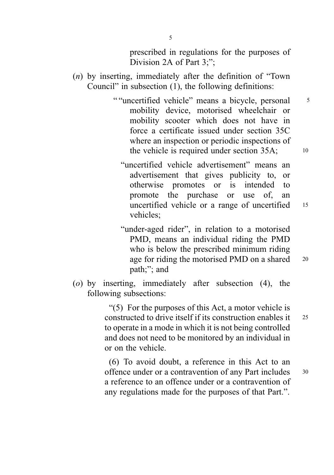prescribed in regulations for the purposes of Division 2A of Part 3;";

- (n) by inserting, immediately after the definition of "Town Council" in subsection (1), the following definitions:
	- " "uncertified vehicle" means a bicycle, personal 5 mobility device, motorised wheelchair or mobility scooter which does not have in force a certificate issued under section 35C where an inspection or periodic inspections of the vehicle is required under section 35A; 10
		- "uncertified vehicle advertisement" means an advertisement that gives publicity to, or otherwise promotes or is intended to promote the purchase or use of, an uncertified vehicle or a range of uncertified <sup>15</sup> vehicles;
		- "under-aged rider", in relation to a motorised PMD, means an individual riding the PMD who is below the prescribed minimum riding age for riding the motorised PMD on a shared 20 path;"; and
- (o) by inserting, immediately after subsection (4), the following subsections:

"(5) For the purposes of this Act, a motor vehicle is constructed to drive itself if its construction enables it <sup>25</sup> to operate in a mode in which it is not being controlled and does not need to be monitored by an individual in or on the vehicle.

(6) To avoid doubt, a reference in this Act to an offence under or a contravention of any Part includes <sup>30</sup> a reference to an offence under or a contravention of any regulations made for the purposes of that Part.".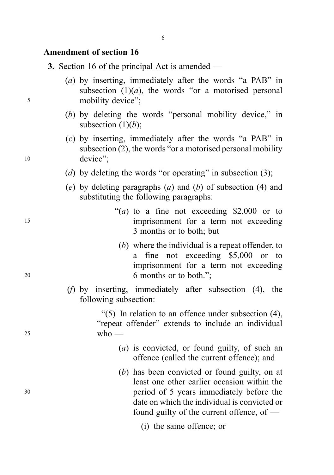### Amendment of section 16

3. Section 16 of the principal Act is amended —

- (a) by inserting, immediately after the words "a PAB" in subsection  $(1)(a)$ , the words "or a motorised personal <sup>5</sup> mobility device";
	- (b) by deleting the words "personal mobility device," in subsection  $(1)(b)$ ;
- (c) by inserting, immediately after the words "a PAB" in subsection (2), the words "or a motorised personal mobility 10 device";
	- (d) by deleting the words "or operating" in subsection  $(3)$ ;
	- (e) by deleting paragraphs (a) and (b) of subsection (4) and substituting the following paragraphs:
- "(*a*) to a fine not exceeding  $$2,000$  or to <sup>15</sup> imprisonment for a term not exceeding 3 months or to both; but
- (b) where the individual is a repeat offender, to a fine not exceeding \$5,000 or to imprisonment for a term not exceeding <sup>20</sup> 6 months or to both.";
	- (f) by inserting, immediately after subsection (4), the following subsection:

"(5) In relation to an offence under subsection (4), "repeat offender" extends to include an individual  $25$  who —

- (a) is convicted, or found guilty, of such an offence (called the current offence); and
- (b) has been convicted or found guilty, on at least one other earlier occasion within the <sup>30</sup> period of 5 years immediately before the date on which the individual is convicted or found guilty of the current offence, of —
	- (i) the same offence; or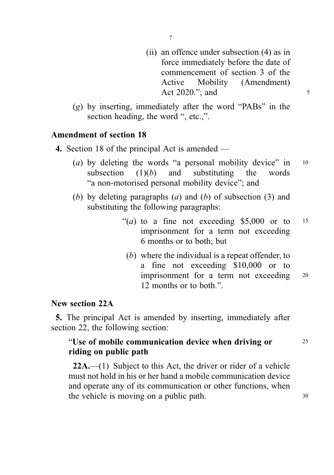- (ii) an offence under subsection (4) as in force immediately before the date of commencement of section 3 of the Active Mobility (Amendment) Act 2020."; and 5
- (g) by inserting, immediately after the word "PABs" in the section heading, the word ", etc.,".

# Amendment of section 18

- 4. Section 18 of the principal Act is amended
	- (a) by deleting the words "a personal mobility device" in  $10$ subsection  $(1)(b)$  and substituting the words "a non-motorised personal mobility device"; and
	- (b) by deleting paragraphs  $(a)$  and  $(b)$  of subsection  $(3)$  and substituting the following paragraphs:
		- "(a) to a fine not exceeding  $$5,000$  or to 15 imprisonment for a term not exceeding 6 months or to both; but
			- (b) where the individual is a repeat offender, to a fine not exceeding \$10,000 or to imprisonment for a term not exceeding 20 12 months or to both.".

### New section 22A

5. The principal Act is amended by inserting, immediately after section 22, the following section:

# "Use of mobile communication device when driving or  $25$ riding on public path

22A.—(1) Subject to this Act, the driver or rider of a vehicle must not hold in his or her hand a mobile communication device and operate any of its communication or other functions, when the vehicle is moving on a public path. 30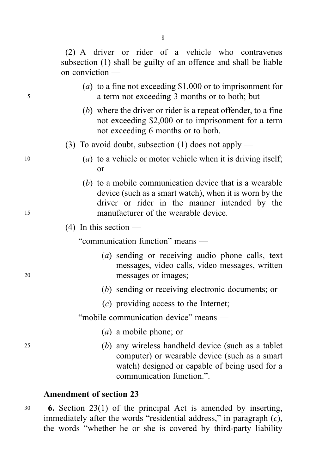(2) A driver or rider of a vehicle who contravenes subsection (1) shall be guilty of an offence and shall be liable on conviction —

- (a) to a fine not exceeding \$1,000 or to imprisonment for <sup>5</sup> a term not exceeding 3 months or to both; but
	- (b) where the driver or rider is a repeat offender, to a fine not exceeding \$2,000 or to imprisonment for a term not exceeding 6 months or to both.
	- (3) To avoid doubt, subsection (1) does not apply —
- 10 (a) to a vehicle or motor vehicle when it is driving itself; or
- (b) to a mobile communication device that is a wearable device (such as a smart watch), when it is worn by the driver or rider in the manner intended by the <sup>15</sup> manufacturer of the wearable device.
	- $(4)$  In this section —

"communication function" means —

- (a) sending or receiving audio phone calls, text messages, video calls, video messages, written <sup>20</sup> messages or images;
	- (b) sending or receiving electronic documents; or
	- (c) providing access to the Internet;

"mobile communication device" means —

- (a) a mobile phone; or
- <sup>25</sup> (b) any wireless handheld device (such as a tablet computer) or wearable device (such as a smart watch) designed or capable of being used for a communication function.".

## Amendment of section 23

<sup>30</sup> 6. Section 23(1) of the principal Act is amended by inserting, immediately after the words "residential address," in paragraph  $(c)$ , the words "whether he or she is covered by third-party liability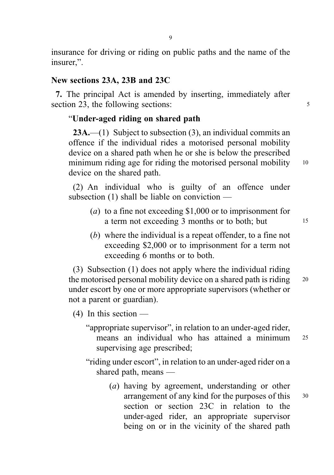insurance for driving or riding on public paths and the name of the insurer,".

# New sections 23A, 23B and 23C

7. The principal Act is amended by inserting, immediately after section 23, the following sections: 5

## "Under-aged riding on shared path

23A.—(1) Subject to subsection (3), an individual commits an offence if the individual rides a motorised personal mobility device on a shared path when he or she is below the prescribed minimum riding age for riding the motorised personal mobility 10 device on the shared path.

(2) An individual who is guilty of an offence under subsection (1) shall be liable on conviction —

- (a) to a fine not exceeding \$1,000 or to imprisonment for a term not exceeding 3 months or to both; but 15
- (b) where the individual is a repeat offender, to a fine not exceeding \$2,000 or to imprisonment for a term not exceeding 6 months or to both.

(3) Subsection (1) does not apply where the individual riding the motorised personal mobility device on a shared path is riding 20 under escort by one or more appropriate supervisors (whether or not a parent or guardian).

 $(4)$  In this section —

"appropriate supervisor", in relation to an under-aged rider, means an individual who has attained a minimum <sup>25</sup> supervising age prescribed;

"riding under escort", in relation to an under-aged rider on a shared path, means —

> (a) having by agreement, understanding or other arrangement of any kind for the purposes of this <sup>30</sup> section or section 23C in relation to the under-aged rider, an appropriate supervisor being on or in the vicinity of the shared path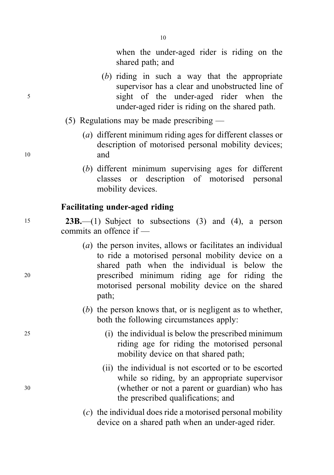when the under-aged rider is riding on the shared path; and

- (b) riding in such a way that the appropriate supervisor has a clear and unobstructed line of <sup>5</sup> sight of the under-aged rider when the under-aged rider is riding on the shared path.
	- (5) Regulations may be made prescribing —

10

- (a) different minimum riding ages for different classes or description of motorised personal mobility devices; <sup>10</sup> and
	- (b) different minimum supervising ages for different classes or description of motorised personal mobility devices.

# Facilitating under-aged riding

<sup>15</sup> 23B.—(1) Subject to subsections (3) and (4), a person commits an offence if —

- (a) the person invites, allows or facilitates an individual to ride a motorised personal mobility device on a shared path when the individual is below the <sup>20</sup> prescribed minimum riding age for riding the motorised personal mobility device on the shared path;
	- (b) the person knows that, or is negligent as to whether, both the following circumstances apply:
- <sup>25</sup> (i) the individual is below the prescribed minimum riding age for riding the motorised personal mobility device on that shared path;
- (ii) the individual is not escorted or to be escorted while so riding, by an appropriate supervisor <sup>30</sup> (whether or not a parent or guardian) who has the prescribed qualifications; and
	- (c) the individual does ride a motorised personal mobility device on a shared path when an under-aged rider.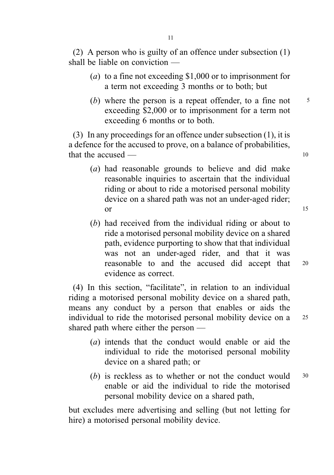(2) A person who is guilty of an offence under subsection (1) shall be liable on conviction —

- (a) to a fine not exceeding \$1,000 or to imprisonment for a term not exceeding 3 months or to both; but
- (b) where the person is a repeat offender, to a fine not  $\frac{5}{5}$ exceeding \$2,000 or to imprisonment for a term not exceeding 6 months or to both.

(3) In any proceedings for an offence under subsection (1), it is a defence for the accused to prove, on a balance of probabilities, that the accused —  $\qquad \qquad$  10

- (a) had reasonable grounds to believe and did make reasonable inquiries to ascertain that the individual riding or about to ride a motorised personal mobility device on a shared path was not an under-aged rider;  $or$  15
- (b) had received from the individual riding or about to ride a motorised personal mobility device on a shared path, evidence purporting to show that that individual was not an under-aged rider, and that it was reasonable to and the accused did accept that <sup>20</sup> evidence as correct.

(4) In this section, "facilitate", in relation to an individual riding a motorised personal mobility device on a shared path, means any conduct by a person that enables or aids the individual to ride the motorised personal mobility device on a <sup>25</sup> shared path where either the person —

- (a) intends that the conduct would enable or aid the individual to ride the motorised personal mobility device on a shared path; or
- (b) is reckless as to whether or not the conduct would 30 enable or aid the individual to ride the motorised personal mobility device on a shared path,

but excludes mere advertising and selling (but not letting for hire) a motorised personal mobility device.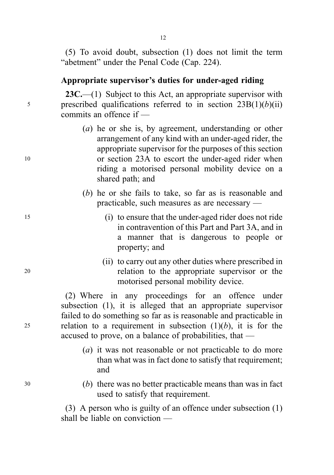(5) To avoid doubt, subsection (1) does not limit the term "abetment" under the Penal Code (Cap. 224).

# Appropriate supervisor's duties for under-aged riding

 $23C$ —(1) Subject to this Act, an appropriate supervisor with  $5$  prescribed qualifications referred to in section  $23B(1)(b)(ii)$ commits an offence if —

- (a) he or she is, by agreement, understanding or other arrangement of any kind with an under-aged rider, the appropriate supervisor for the purposes of this section <sup>10</sup> or section 23A to escort the under-aged rider when riding a motorised personal mobility device on a shared path; and
	- (b) he or she fails to take, so far as is reasonable and practicable, such measures as are necessary —
- <sup>15</sup> (i) to ensure that the under-aged rider does not ride in contravention of this Part and Part 3A, and in a manner that is dangerous to people or property; and
- (ii) to carry out any other duties where prescribed in <sup>20</sup> relation to the appropriate supervisor or the motorised personal mobility device.

(2) Where in any proceedings for an offence under subsection (1), it is alleged that an appropriate supervisor failed to do something so far as is reasonable and practicable in 25 relation to a requirement in subsection  $(1)(b)$ , it is for the accused to prove, on a balance of probabilities, that —

- (a) it was not reasonable or not practicable to do more than what was in fact done to satisfy that requirement; and
- <sup>30</sup> (b) there was no better practicable means than was in fact used to satisfy that requirement.

(3) A person who is guilty of an offence under subsection (1) shall be liable on conviction —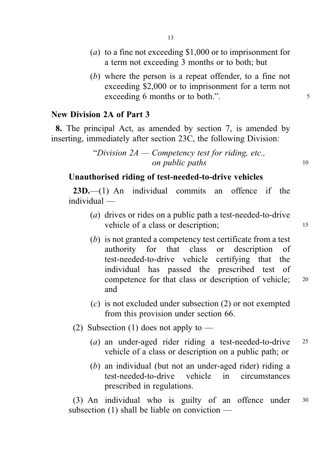- (a) to a fine not exceeding \$1,000 or to imprisonment for a term not exceeding 3 months or to both; but
- (b) where the person is a repeat offender, to a fine not exceeding \$2,000 or to imprisonment for a term not exceeding 6 months or to both.".

# New Division 2A of Part 3

8. The principal Act, as amended by section 7, is amended by inserting, immediately after section 23C, the following Division:

"Division 
$$
2A
$$
 — *Competency test for riding, etc.*,  
on public paths

# Unauthorised riding of test-needed-to-drive vehicles

23D.—(1) An individual commits an offence if the individual —

- (a) drives or rides on a public path a test-needed-to-drive vehicle of a class or description; 15
- (b) is not granted a competency test certificate from a test authority for that class or description of test-needed-to-drive vehicle certifying that the individual has passed the prescribed test of competence for that class or description of vehicle; <sup>20</sup> and
- (c) is not excluded under subsection (2) or not exempted from this provision under section 66.
- (2) Subsection (1) does not apply to  $-$ 
	- (a) an under-aged rider riding a test-needed-to-drive 25 vehicle of a class or description on a public path; or
	- (b) an individual (but not an under-aged rider) riding a test-needed-to-drive vehicle in circumstances prescribed in regulations.

(3) An individual who is guilty of an offence under <sup>30</sup> subsection (1) shall be liable on conviction —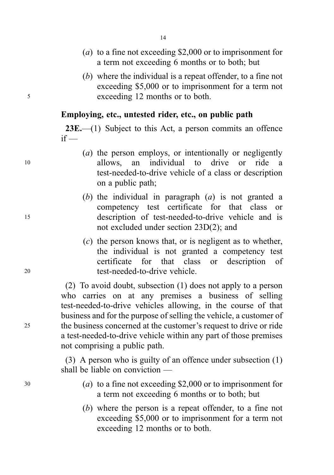- (a) to a fine not exceeding \$2,000 or to imprisonment for a term not exceeding 6 months or to both; but
- (b) where the individual is a repeat offender, to a fine not exceeding \$5,000 or to imprisonment for a term not <sup>5</sup> exceeding 12 months or to both.

# Employing, etc., untested rider, etc., on public path

 $23E$ .—(1) Subject to this Act, a person commits an offence  $if -$ 

- (a) the person employs, or intentionally or negligently <sup>10</sup> allows, an individual to drive or ride a test-needed-to-drive vehicle of a class or description on a public path;
- (b) the individual in paragraph  $(a)$  is not granted a competency test certificate for that class or <sup>15</sup> description of test-needed-to-drive vehicle and is not excluded under section 23D(2); and
- (c) the person knows that, or is negligent as to whether, the individual is not granted a competency test certificate for that class or description of <sup>20</sup> test-needed-to-drive vehicle.

(2) To avoid doubt, subsection (1) does not apply to a person who carries on at any premises a business of selling test-needed-to-drive vehicles allowing, in the course of that business and for the purpose of selling the vehicle, a customer of <sup>25</sup> the business concerned at the customer's request to drive or ride a test-needed-to-drive vehicle within any part of those premises not comprising a public path.

> (3) A person who is guilty of an offence under subsection (1) shall be liable on conviction —

- <sup>30</sup> (a) to a fine not exceeding \$2,000 or to imprisonment for a term not exceeding 6 months or to both; but
	- (b) where the person is a repeat offender, to a fine not exceeding \$5,000 or to imprisonment for a term not exceeding 12 months or to both.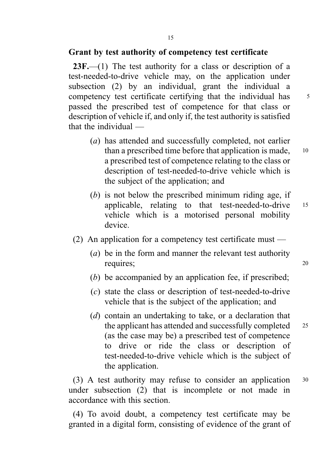#### Grant by test authority of competency test certificate

 $23F$ .—(1) The test authority for a class or description of a test-needed-to-drive vehicle may, on the application under subsection (2) by an individual, grant the individual a competency test certificate certifying that the individual has  $5$ passed the prescribed test of competence for that class or description of vehicle if, and only if, the test authority is satisfied that the individual —

- (a) has attended and successfully completed, not earlier than a prescribed time before that application is made, 10 a prescribed test of competence relating to the class or description of test-needed-to-drive vehicle which is the subject of the application; and
- (b) is not below the prescribed minimum riding age, if applicable, relating to that test-needed-to-drive <sup>15</sup> vehicle which is a motorised personal mobility device.

#### (2) An application for a competency test certificate must —

- (a) be in the form and manner the relevant test authority requires; 20
- (b) be accompanied by an application fee, if prescribed;
- (c) state the class or description of test-needed-to-drive vehicle that is the subject of the application; and
- (d) contain an undertaking to take, or a declaration that the applicant has attended and successfully completed 25 (as the case may be) a prescribed test of competence to drive or ride the class or description of test-needed-to-drive vehicle which is the subject of the application.

(3) A test authority may refuse to consider an application <sup>30</sup> under subsection (2) that is incomplete or not made in accordance with this section.

(4) To avoid doubt, a competency test certificate may be granted in a digital form, consisting of evidence of the grant of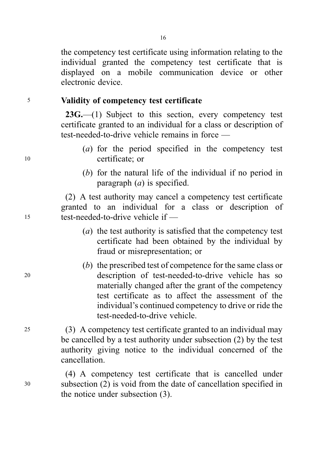the competency test certificate using information relating to the individual granted the competency test certificate that is displayed on a mobile communication device or other electronic device.

<sup>5</sup> Validity of competency test certificate

 $23G$ —(1) Subject to this section, every competency test certificate granted to an individual for a class or description of test-needed-to-drive vehicle remains in force —

- (a) for the period specified in the competency test <sup>10</sup> certificate; or
	- (b) for the natural life of the individual if no period in paragraph  $(a)$  is specified.

(2) A test authority may cancel a competency test certificate granted to an individual for a class or description of <sup>15</sup> test-needed-to-drive vehicle if —

- (a) the test authority is satisfied that the competency test certificate had been obtained by the individual by fraud or misrepresentation; or
- (b) the prescribed test of competence for the same class or <sup>20</sup> description of test-needed-to-drive vehicle has so materially changed after the grant of the competency test certificate as to affect the assessment of the individual's continued competency to drive or ride the test-needed-to-drive vehicle.

<sup>25</sup> (3) A competency test certificate granted to an individual may be cancelled by a test authority under subsection (2) by the test authority giving notice to the individual concerned of the cancellation.

(4) A competency test certificate that is cancelled under <sup>30</sup> subsection (2) is void from the date of cancellation specified in the notice under subsection (3).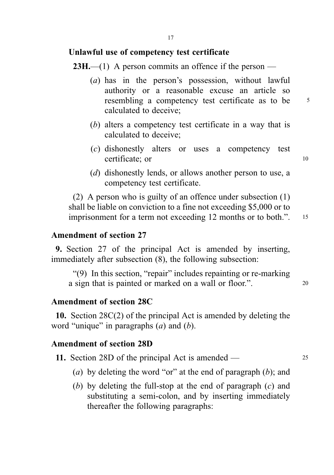### Unlawful use of competency test certificate

 $23H$ ,—(1) A person commits an offence if the person —

- (a) has in the person's possession, without lawful authority or a reasonable excuse an article so resembling a competency test certificate as to be 5 calculated to deceive;
- (b) alters a competency test certificate in a way that is calculated to deceive;
- (c) dishonestly alters or uses a competency test certificate; or 10
- (d) dishonestly lends, or allows another person to use, a competency test certificate.

(2) A person who is guilty of an offence under subsection (1) shall be liable on conviction to a fine not exceeding \$5,000 or to imprisonment for a term not exceeding 12 months or to both.". 15

# Amendment of section 27

9. Section 27 of the principal Act is amended by inserting, immediately after subsection (8), the following subsection:

"(9) In this section, "repair" includes repainting or re-marking a sign that is painted or marked on a wall or floor.". <sup>20</sup>

# Amendment of section 28C

10. Section 28C(2) of the principal Act is amended by deleting the word "unique" in paragraphs  $(a)$  and  $(b)$ .

#### Amendment of section 28D

11. Section 28D of the principal Act is amended — 25

- (a) by deleting the word "or" at the end of paragraph  $(b)$ ; and
- (b) by deleting the full-stop at the end of paragraph  $(c)$  and substituting a semi-colon, and by inserting immediately thereafter the following paragraphs: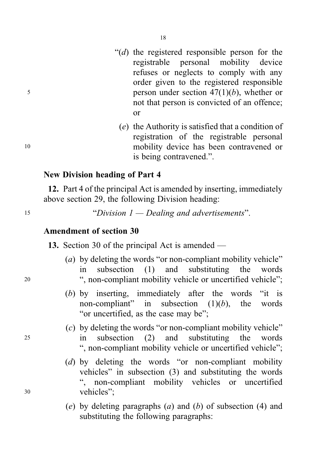- " $(d)$  the registered responsible person for the registrable personal mobility device refuses or neglects to comply with any order given to the registered responsible  $5$  person under section  $47(1)(b)$ , whether or not that person is convicted of an offence; or
- (e) the Authority is satisfied that a condition of registration of the registrable personal <sup>10</sup> mobility device has been contravened or is being contravened.".

## New Division heading of Part 4

12. Part 4 of the principal Act is amended by inserting, immediately above section 29, the following Division heading:

<sup>15</sup> "Division 1 — Dealing and advertisements".

## Amendment of section 30

13. Section 30 of the principal Act is amended —

- (a) by deleting the words "or non-compliant mobility vehicle" in subsection (1) and substituting the words <sup>20</sup> ", non-compliant mobility vehicle or uncertified vehicle";
	- (b) by inserting, immediately after the words "it is non-compliant" in subsection  $(1)(b)$ , the words "or uncertified, as the case may be";
- $(c)$  by deleting the words "or non-compliant mobility vehicle" <sup>25</sup> in subsection (2) and substituting the words ", non-compliant mobility vehicle or uncertified vehicle";
- (d) by deleting the words "or non-compliant mobility vehicles" in subsection (3) and substituting the words ", non-compliant mobility vehicles or uncertified <sup>30</sup> vehicles";
	- (e) by deleting paragraphs  $(a)$  and  $(b)$  of subsection  $(4)$  and substituting the following paragraphs: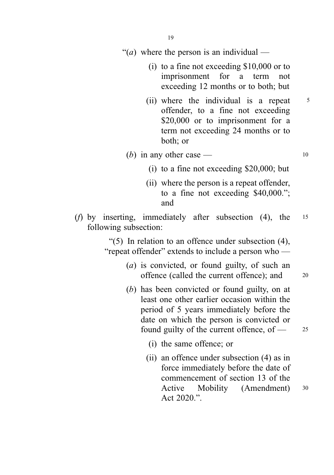- "(*a*) where the person is an individual
	- (i) to a fine not exceeding \$10,000 or to imprisonment for a term not exceeding 12 months or to both; but
	- (ii) where the individual is a repeat  $\frac{5}{1}$ offender, to a fine not exceeding \$20,000 or to imprisonment for a term not exceeding 24 months or to both; or
	- (b) in any other case  $\frac{10}{2}$ 
		- (i) to a fine not exceeding \$20,000; but
		- (ii) where the person is a repeat offender, to a fine not exceeding \$40,000."; and
- (f) by inserting, immediately after subsection (4), the <sup>15</sup> following subsection:

"(5) In relation to an offence under subsection (4), "repeat offender" extends to include a person who —

- (a) is convicted, or found guilty, of such an offence (called the current offence); and <sup>20</sup>
- (b) has been convicted or found guilty, on at least one other earlier occasion within the period of 5 years immediately before the date on which the person is convicted or found guilty of the current offence, of  $\frac{25}{25}$ 
	- (i) the same offence; or
	- (ii) an offence under subsection (4) as in force immediately before the date of commencement of section 13 of the Active Mobility (Amendment) <sup>30</sup> Act 2020.".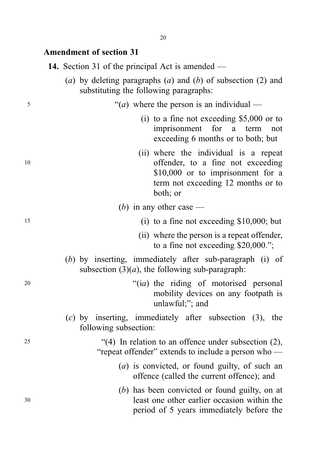### Amendment of section 31

|  |  |  |  |  |  |  | <b>14.</b> Section 31 of the principal Act is amended — |
|--|--|--|--|--|--|--|---------------------------------------------------------|
|--|--|--|--|--|--|--|---------------------------------------------------------|

(a) by deleting paragraphs (a) and (b) of subsection (2) and substituting the following paragraphs:

|  |  |  |  |  | "( <i>a</i> ) where the person is an individual — |
|--|--|--|--|--|---------------------------------------------------|
|--|--|--|--|--|---------------------------------------------------|

- (i) to a fine not exceeding \$5,000 or to imprisonment for a term not exceeding 6 months or to both; but
- (ii) where the individual is a repeat 10 offender, to a fine not exceeding \$10,000 or to imprisonment for a term not exceeding 12 months or to both; or

(b) in any other case  $-$ 

- 15 (i) to a fine not exceeding \$10,000; but
	- (ii) where the person is a repeat offender, to a fine not exceeding \$20,000.";
	- (b) by inserting, immediately after sub-paragraph (i) of subsection  $(3)(a)$ , the following sub-paragraph:
- <sup>20</sup> "(ia) the riding of motorised personal mobility devices on any footpath is unlawful;"; and
	- (c) by inserting, immediately after subsection (3), the following subsection:

<sup>25</sup> "(4) In relation to an offence under subsection (2), "repeat offender" extends to include a person who —

- (a) is convicted, or found guilty, of such an offence (called the current offence); and
- (b) has been convicted or found guilty, on at <sup>30</sup> least one other earlier occasion within the period of 5 years immediately before the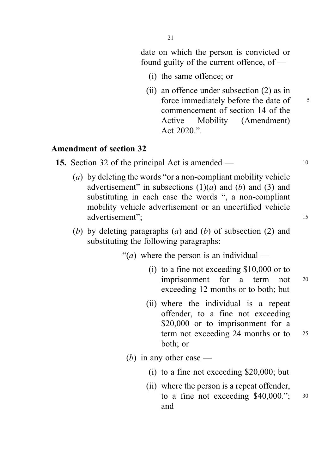21

date on which the person is convicted or found guilty of the current offence, of —

- (i) the same offence; or
- (ii) an offence under subsection (2) as in force immediately before the date of  $5^{\circ}$ commencement of section 14 of the Active Mobility (Amendment) Act 2020.".

# Amendment of section 32

- 15. Section 32 of the principal Act is amended 10
	- (a) by deleting the words "or a non-compliant mobility vehicle advertisement" in subsections  $(1)(a)$  and  $(b)$  and  $(3)$  and substituting in each case the words ", a non-compliant mobility vehicle advertisement or an uncertified vehicle advertisement": 15
	- (b) by deleting paragraphs  $(a)$  and  $(b)$  of subsection  $(2)$  and substituting the following paragraphs:

"(*a*) where the person is an individual —

- (i) to a fine not exceeding \$10,000 or to imprisonment for a term not <sup>20</sup> exceeding 12 months or to both; but
- (ii) where the individual is a repeat offender, to a fine not exceeding \$20,000 or to imprisonment for a term not exceeding 24 months or to 25 both; or
- (b) in any other case  $-$ 
	- (i) to a fine not exceeding \$20,000; but
	- (ii) where the person is a repeat offender, to a fine not exceeding \$40,000."; 30 and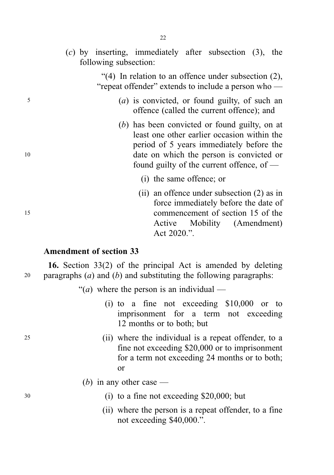(c) by inserting, immediately after subsection (3), the following subsection:

> "(4) In relation to an offence under subsection (2), "repeat offender" extends to include a person who —

- <sup>5</sup> (a) is convicted, or found guilty, of such an offence (called the current offence); and
- (b) has been convicted or found guilty, on at least one other earlier occasion within the period of 5 years immediately before the <sup>10</sup> date on which the person is convicted or found guilty of the current offence, of —
	- (i) the same offence; or
- (ii) an offence under subsection (2) as in force immediately before the date of <sup>15</sup> commencement of section 15 of the Active Mobility (Amendment) Act 2020.".

#### Amendment of section 33

16. Section 33(2) of the principal Act is amended by deleting 20 paragraphs  $(a)$  and  $(b)$  and substituting the following paragraphs:

"(*a*) where the person is an individual —

- (i) to a fine not exceeding \$10,000 or to imprisonment for a term not exceeding 12 months or to both; but
- <sup>25</sup> (ii) where the individual is a repeat offender, to a fine not exceeding \$20,000 or to imprisonment for a term not exceeding 24 months or to both; or
	- (b) in any other case  $-$
- <sup>30</sup> (i) to a fine not exceeding \$20,000; but
	- (ii) where the person is a repeat offender, to a fine not exceeding \$40,000.".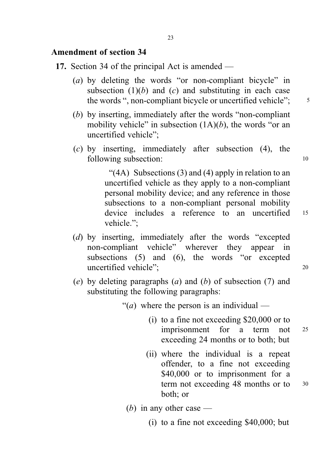# Amendment of section 34

- 17. Section 34 of the principal Act is amended
	- (a) by deleting the words "or non-compliant bicycle" in subsection  $(1)(b)$  and  $(c)$  and substituting in each case the words ", non-compliant bicycle or uncertified vehicle";  $\frac{5}{5}$
	- (b) by inserting, immediately after the words "non-compliant mobility vehicle" in subsection  $(1A)(b)$ , the words "or an uncertified vehicle";
	- (c) by inserting, immediately after subsection (4), the following subsection: 10

" $(4A)$  Subsections  $(3)$  and  $(4)$  apply in relation to an uncertified vehicle as they apply to a non-compliant personal mobility device; and any reference in those subsections to a non-compliant personal mobility device includes a reference to an uncertified 15 vehicle.";

- (d) by inserting, immediately after the words "excepted" non-compliant vehicle" wherever they appear in subsections (5) and (6), the words "or excepted uncertified vehicle": 20
- (e) by deleting paragraphs  $(a)$  and  $(b)$  of subsection  $(7)$  and substituting the following paragraphs:
	- "(*a*) where the person is an individual
		- (i) to a fine not exceeding \$20,000 or to imprisonment for a term not <sup>25</sup> exceeding 24 months or to both; but
		- (ii) where the individual is a repeat offender, to a fine not exceeding \$40,000 or to imprisonment for a term not exceeding 48 months or to 30 both; or
		- (*b*) in any other case
			- (i) to a fine not exceeding \$40,000; but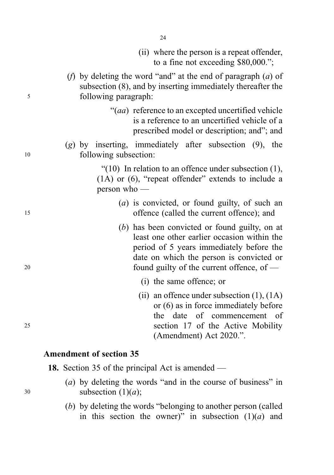|    | (ii) where the person is a repeat offender,<br>to a fine not exceeding \$80,000.";                                                                                                                                                  |
|----|-------------------------------------------------------------------------------------------------------------------------------------------------------------------------------------------------------------------------------------|
| 5  | (f) by deleting the word "and" at the end of paragraph $(a)$ of<br>subsection $(8)$ , and by inserting immediately thereafter the<br>following paragraph:                                                                           |
|    | "( <i>aa</i> ) reference to an excepted uncertified vehicle<br>is a reference to an uncertified vehicle of a<br>prescribed model or description; and"; and                                                                          |
| 10 | $(g)$ by inserting, immediately after subsection $(9)$ , the<br>following subsection:                                                                                                                                               |
|    | "(10) In relation to an offence under subsection $(1)$ ,<br>$(1A)$ or $(6)$ , "repeat offender" extends to include a<br>$person who$ —                                                                                              |
| 15 | (a) is convicted, or found guilty, of such an<br>offence (called the current offence); and                                                                                                                                          |
| 20 | (b) has been convicted or found guilty, on at<br>least one other earlier occasion within the<br>period of 5 years immediately before the<br>date on which the person is convicted or<br>found guilty of the current offence, of $-$ |
|    | (i) the same offence; or                                                                                                                                                                                                            |
| 25 | (ii) an offence under subsection $(1)$ , $(1A)$<br>or $(6)$ as in force immediately before<br>date<br>of commencement of<br>the<br>section 17 of the Active Mobility<br>(Amendment) Act 2020.".                                     |
|    | <b>Amendment of section 35</b>                                                                                                                                                                                                      |
|    | <b>18.</b> Section 35 of the principal Act is amended —                                                                                                                                                                             |
|    | $\overline{a}$ and $\overline{a}$ and $\overline{a}$ and $\overline{a}$ and $\overline{a}$ and $\overline{a}$ and $\overline{a}$ and $\overline{a}$                                                                                 |

- (a) by deleting the words "and in the course of business" in  $30$  subsection  $(1)(a)$ ;
	- (b) by deleting the words "belonging to another person (called in this section the owner)" in subsection  $(1)(a)$  and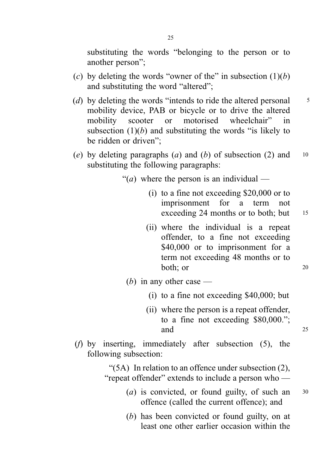substituting the words "belonging to the person or to another person";

- (c) by deleting the words "owner of the" in subsection  $(1)(b)$ and substituting the word "altered";
- (d) by deleting the words "intends to ride the altered personal  $\frac{5}{5}$ mobility device, PAB or bicycle or to drive the altered mobility scooter or motorised wheelchair" in subsection  $(1)(b)$  and substituting the words "is likely to be ridden or driven";
- (e) by deleting paragraphs (a) and (b) of subsection (2) and  $10$ substituting the following paragraphs:

"(*a*) where the person is an individual —

- (i) to a fine not exceeding \$20,000 or to imprisonment for a term not exceeding 24 months or to both; but 15
- (ii) where the individual is a repeat offender, to a fine not exceeding \$40,000 or to imprisonment for a term not exceeding 48 months or to both; or 20
- (*b*) in any other case
	- (i) to a fine not exceeding \$40,000; but
	- (ii) where the person is a repeat offender, to a fine not exceeding \$80,000."; and 25
- (f) by inserting, immediately after subsection (5), the following subsection:

"(5A) In relation to an offence under subsection (2), "repeat offender" extends to include a person who —

- (*a*) is convicted, or found guilty, of such an  $30$ offence (called the current offence); and
- (b) has been convicted or found guilty, on at least one other earlier occasion within the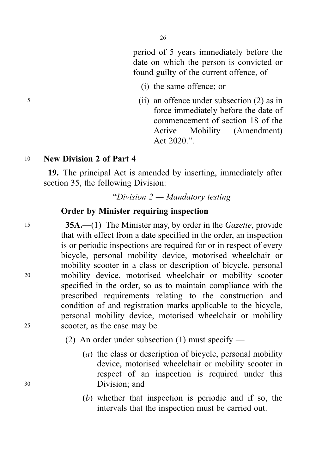period of 5 years immediately before the date on which the person is convicted or found guilty of the current offence, of —

- (i) the same offence; or
- <sup>5</sup> (ii) an offence under subsection (2) as in force immediately before the date of commencement of section 18 of the Active Mobility (Amendment) Act 2020.".

# <sup>10</sup> New Division 2 of Part 4

19. The principal Act is amended by inserting, immediately after section 35, the following Division:

#### "Division 2 — Mandatory testing

#### Order by Minister requiring inspection

15 35A.—(1) The Minister may, by order in the Gazette, provide that with effect from a date specified in the order, an inspection is or periodic inspections are required for or in respect of every bicycle, personal mobility device, motorised wheelchair or mobility scooter in a class or description of bicycle, personal <sup>20</sup> mobility device, motorised wheelchair or mobility scooter specified in the order, so as to maintain compliance with the prescribed requirements relating to the construction and condition of and registration marks applicable to the bicycle, personal mobility device, motorised wheelchair or mobility <sup>25</sup> scooter, as the case may be.

- (2) An order under subsection (1) must specify —
- (a) the class or description of bicycle, personal mobility device, motorised wheelchair or mobility scooter in respect of an inspection is required under this <sup>30</sup> Division; and
	- (b) whether that inspection is periodic and if so, the intervals that the inspection must be carried out.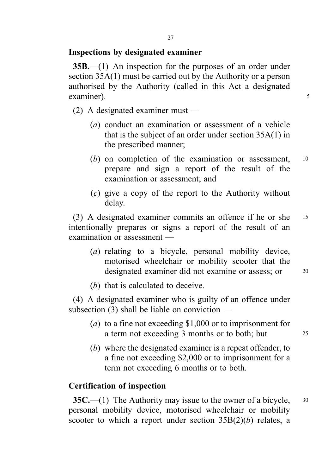#### Inspections by designated examiner

35B.—(1) An inspection for the purposes of an order under section 35A(1) must be carried out by the Authority or a person authorised by the Authority (called in this Act a designated examiner). 5

(2) A designated examiner must —

- (a) conduct an examination or assessment of a vehicle that is the subject of an order under section 35A(1) in the prescribed manner;
- (b) on completion of the examination or assessment, 10 prepare and sign a report of the result of the examination or assessment; and
- (c) give a copy of the report to the Authority without delay.

(3) A designated examiner commits an offence if he or she <sup>15</sup> intentionally prepares or signs a report of the result of an examination or assessment —

- (a) relating to a bicycle, personal mobility device, motorised wheelchair or mobility scooter that the designated examiner did not examine or assess; or 20
- (b) that is calculated to deceive.

(4) A designated examiner who is guilty of an offence under subsection  $(3)$  shall be liable on conviction —

- (a) to a fine not exceeding \$1,000 or to imprisonment for a term not exceeding 3 months or to both; but 25
- (b) where the designated examiner is a repeat offender, to a fine not exceeding \$2,000 or to imprisonment for a term not exceeding 6 months or to both.

## Certification of inspection

**35C.**—(1) The Authority may issue to the owner of a bicycle,  $30$ personal mobility device, motorised wheelchair or mobility scooter to which a report under section  $35B(2)(b)$  relates, a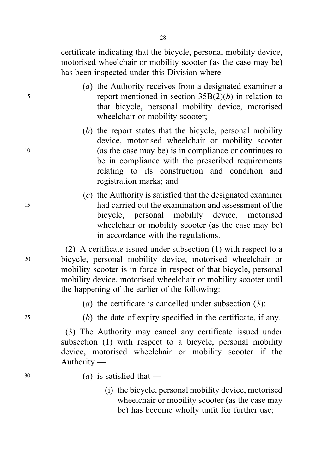certificate indicating that the bicycle, personal mobility device, motorised wheelchair or mobility scooter (as the case may be) has been inspected under this Division where —

- (a) the Authority receives from a designated examiner a  $5$  report mentioned in section  $35B(2)(b)$  in relation to that bicycle, personal mobility device, motorised wheelchair or mobility scooter;
- (b) the report states that the bicycle, personal mobility device, motorised wheelchair or mobility scooter <sup>10</sup> (as the case may be) is in compliance or continues to be in compliance with the prescribed requirements relating to its construction and condition and registration marks; and
- (c) the Authority is satisfied that the designated examiner <sup>15</sup> had carried out the examination and assessment of the bicycle, personal mobility device, motorised wheelchair or mobility scooter (as the case may be) in accordance with the regulations.

(2) A certificate issued under subsection (1) with respect to a <sup>20</sup> bicycle, personal mobility device, motorised wheelchair or mobility scooter is in force in respect of that bicycle, personal mobility device, motorised wheelchair or mobility scooter until the happening of the earlier of the following:

(*a*) the certificate is cancelled under subsection  $(3)$ ;

<sup>25</sup> (b) the date of expiry specified in the certificate, if any.

(3) The Authority may cancel any certificate issued under subsection (1) with respect to a bicycle, personal mobility device, motorised wheelchair or mobility scooter if the Authority —

- $(a)$  is satisfied that
	- (i) the bicycle, personal mobility device, motorised wheelchair or mobility scooter (as the case may be) has become wholly unfit for further use;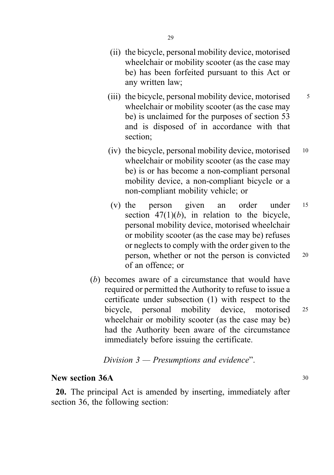29

- (ii) the bicycle, personal mobility device, motorised wheelchair or mobility scooter (as the case may be) has been forfeited pursuant to this Act or any written law;
- (iii) the bicycle, personal mobility device, motorised  $\frac{5}{5}$ wheelchair or mobility scooter (as the case may be) is unclaimed for the purposes of section 53 and is disposed of in accordance with that section;
- (iv) the bicycle, personal mobility device, motorised  $10$ wheelchair or mobility scooter (as the case may be) is or has become a non-compliant personal mobility device, a non-compliant bicycle or a non-compliant mobility vehicle; or
- (v) the person given an order under <sup>15</sup> section  $47(1)(b)$ , in relation to the bicycle, personal mobility device, motorised wheelchair or mobility scooter (as the case may be) refuses or neglects to comply with the order given to the person, whether or not the person is convicted <sup>20</sup> of an offence; or
- (b) becomes aware of a circumstance that would have required or permitted the Authority to refuse to issue a certificate under subsection (1) with respect to the bicycle, personal mobility device, motorised <sup>25</sup> wheelchair or mobility scooter (as the case may be) had the Authority been aware of the circumstance immediately before issuing the certificate.

Division 3 — Presumptions and evidence".

# New section 36A 30

20. The principal Act is amended by inserting, immediately after section 36, the following section: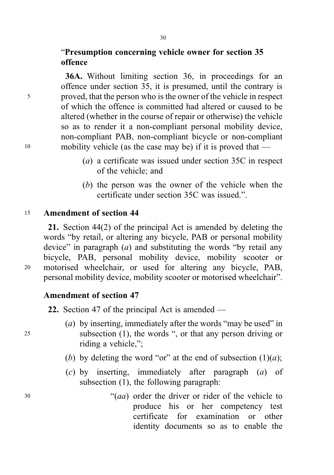# "Presumption concerning vehicle owner for section 35 offence

36A. Without limiting section 36, in proceedings for an offence under section 35, it is presumed, until the contrary is <sup>5</sup> proved, that the person who is the owner of the vehicle in respect of which the offence is committed had altered or caused to be altered (whether in the course of repair or otherwise) the vehicle so as to render it a non-compliant personal mobility device, non-compliant PAB, non-compliant bicycle or non-compliant <sup>10</sup> mobility vehicle (as the case may be) if it is proved that —

- (a) a certificate was issued under section 35C in respect of the vehicle; and
- (b) the person was the owner of the vehicle when the certificate under section 35C was issued.".

## <sup>15</sup> Amendment of section 44

21. Section 44(2) of the principal Act is amended by deleting the words "by retail, or altering any bicycle, PAB or personal mobility device" in paragraph  $(a)$  and substituting the words "by retail any bicycle, PAB, personal mobility device, mobility scooter or <sup>20</sup> motorised wheelchair, or used for altering any bicycle, PAB, personal mobility device, mobility scooter or motorised wheelchair".

### Amendment of section 47

22. Section 47 of the principal Act is amended —

- (a) by inserting, immediately after the words "may be used" in <sup>25</sup> subsection (1), the words ", or that any person driving or riding a vehicle,";
	- (b) by deleting the word "or" at the end of subsection  $(1)(a)$ ;
	- $(c)$  by inserting, immediately after paragraph  $(a)$  of subsection (1), the following paragraph:
- <sup>30</sup> "(aa) order the driver or rider of the vehicle to produce his or her competency test certificate for examination or other identity documents so as to enable the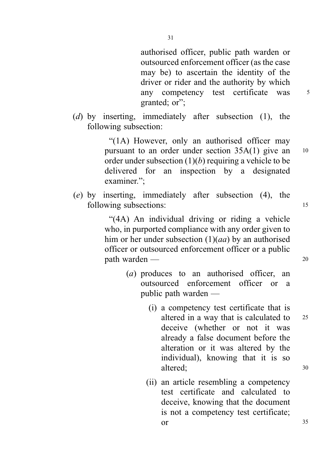authorised officer, public path warden or outsourced enforcement officer (as the case may be) to ascertain the identity of the driver or rider and the authority by which any competency test certificate was  $5$ granted; or";

(d) by inserting, immediately after subsection (1), the following subsection:

> "(1A) However, only an authorised officer may pursuant to an order under section  $35A(1)$  give an 10 order under subsection  $(1)(b)$  requiring a vehicle to be delivered for an inspection by a designated examiner.";

(e) by inserting, immediately after subsection (4), the following subsections: 15

> "(4A) An individual driving or riding a vehicle who, in purported compliance with any order given to him or her under subsection  $(1)(aa)$  by an authorised officer or outsourced enforcement officer or a public path warden — 20

- (a) produces to an authorised officer, an outsourced enforcement officer or a public path warden —
	- (i) a competency test certificate that is altered in a way that is calculated to <sup>25</sup> deceive (whether or not it was already a false document before the alteration or it was altered by the individual), knowing that it is so altered: 30
	- (ii) an article resembling a competency test certificate and calculated to deceive, knowing that the document is not a competency test certificate;  $or$   $35$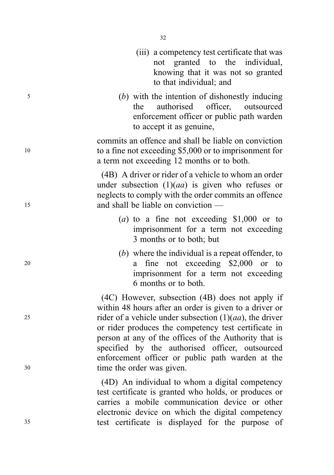- (iii) a competency test certificate that was not granted to the individual, knowing that it was not so granted to that individual; and
- <sup>5</sup> (b) with the intention of dishonestly inducing the authorised officer, outsourced enforcement officer or public path warden to accept it as genuine,

commits an offence and shall be liable on conviction <sup>10</sup> to a fine not exceeding \$5,000 or to imprisonment for a term not exceeding 12 months or to both.

(4B) A driver or rider of a vehicle to whom an order under subsection  $(1)(aa)$  is given who refuses or neglects to comply with the order commits an offence <sup>15</sup> and shall be liable on conviction —

- (a) to a fine not exceeding \$1,000 or to imprisonment for a term not exceeding 3 months or to both; but
- (b) where the individual is a repeat offender, to <sup>20</sup> a fine not exceeding \$2,000 or to imprisonment for a term not exceeding 6 months or to both.

(4C) However, subsection (4B) does not apply if within 48 hours after an order is given to a driver or 25 rider of a vehicle under subsection  $(1)(aa)$ , the driver or rider produces the competency test certificate in person at any of the offices of the Authority that is specified by the authorised officer, outsourced enforcement officer or public path warden at the <sup>30</sup> time the order was given.

(4D) An individual to whom a digital competency test certificate is granted who holds, or produces or carries a mobile communication device or other electronic device on which the digital competency <sup>35</sup> test certificate is displayed for the purpose of

32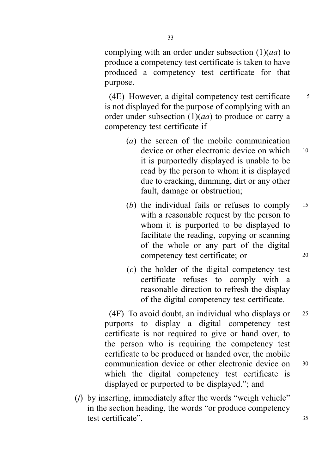complying with an order under subsection  $(1)(aa)$  to produce a competency test certificate is taken to have produced a competency test certificate for that purpose.

(4E) However, a digital competency test certificate <sup>5</sup> is not displayed for the purpose of complying with an order under subsection  $(1)(aa)$  to produce or carry a competency test certificate if —

- (a) the screen of the mobile communication device or other electronic device on which 10 it is purportedly displayed is unable to be read by the person to whom it is displayed due to cracking, dimming, dirt or any other fault, damage or obstruction;
- (b) the individual fails or refuses to comply 15 with a reasonable request by the person to whom it is purported to be displayed to facilitate the reading, copying or scanning of the whole or any part of the digital competency test certificate; or 20
- (c) the holder of the digital competency test certificate refuses to comply with a reasonable direction to refresh the display of the digital competency test certificate.

(4F) To avoid doubt, an individual who displays or <sup>25</sup> purports to display a digital competency test certificate is not required to give or hand over, to the person who is requiring the competency test certificate to be produced or handed over, the mobile communication device or other electronic device on <sup>30</sup> which the digital competency test certificate is displayed or purported to be displayed."; and

(f) by inserting, immediately after the words "weigh vehicle" in the section heading, the words "or produce competency test certificate". <sup>35</sup>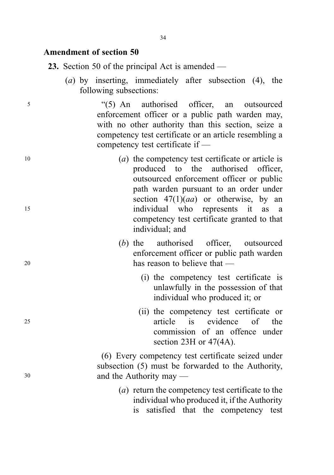#### Amendment of section 50

23. Section 50 of the principal Act is amended —

(a) by inserting, immediately after subsection (4), the following subsections:

<sup>5</sup> "(5) An authorised officer, an outsourced enforcement officer or a public path warden may, with no other authority than this section, seize a competency test certificate or an article resembling a competency test certificate if —

- <sup>10</sup> (a) the competency test certificate or article is produced to the authorised officer, outsourced enforcement officer or public path warden pursuant to an order under section  $47(1)(aa)$  or otherwise, by an <sup>15</sup> individual who represents it as a competency test certificate granted to that individual; and
- (b) the authorised officer, outsourced enforcement officer or public path warden <sup>20</sup> has reason to believe that —
	- (i) the competency test certificate is unlawfully in the possession of that individual who produced it; or
- (ii) the competency test certificate or <sup>25</sup> article is evidence of the commission of an offence under section 23H or 47(4A).

(6) Every competency test certificate seized under subsection (5) must be forwarded to the Authority, <sup>30</sup> and the Authority may —

> (a) return the competency test certificate to the individual who produced it, if the Authority is satisfied that the competency test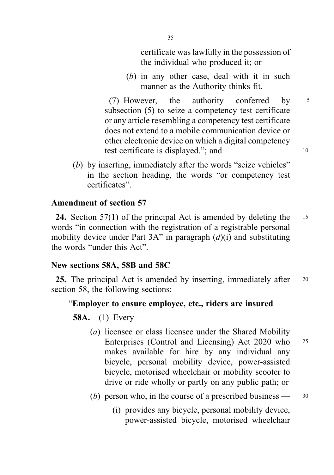certificate was lawfully in the possession of the individual who produced it; or

(b) in any other case, deal with it in such manner as the Authority thinks fit.

(7) However, the authority conferred by <sup>5</sup> subsection (5) to seize a competency test certificate or any article resembling a competency test certificate does not extend to a mobile communication device or other electronic device on which a digital competency test certificate is displayed."; and 10

(b) by inserting, immediately after the words "seize vehicles" in the section heading, the words "or competency test certificates".

## Amendment of section 57

**24.** Section 57(1) of the principal Act is amended by deleting the  $15$ words "in connection with the registration of a registrable personal mobility device under Part 3A" in paragraph  $(d)(i)$  and substituting the words "under this Act".

#### New sections 58A, 58B and 58C

25. The principal Act is amended by inserting, immediately after 20 section 58, the following sections:

#### "Employer to ensure employee, etc., riders are insured

 $58A$ .—(1) Every —

- (a) licensee or class licensee under the Shared Mobility Enterprises (Control and Licensing) Act 2020 who <sup>25</sup> makes available for hire by any individual any bicycle, personal mobility device, power-assisted bicycle, motorised wheelchair or mobility scooter to drive or ride wholly or partly on any public path; or
- (b) person who, in the course of a prescribed business  $\frac{30}{2}$ 
	- (i) provides any bicycle, personal mobility device, power-assisted bicycle, motorised wheelchair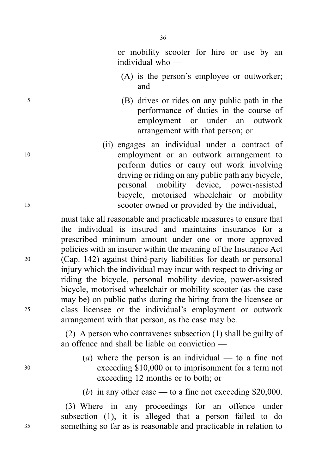or mobility scooter for hire or use by an individual who —

- (A) is the person's employee or outworker; and
- <sup>5</sup> (B) drives or rides on any public path in the performance of duties in the course of employment or under an outwork arrangement with that person; or
- (ii) engages an individual under a contract of <sup>10</sup> employment or an outwork arrangement to perform duties or carry out work involving driving or riding on any public path any bicycle, personal mobility device, power-assisted bicycle, motorised wheelchair or mobility <sup>15</sup> scooter owned or provided by the individual,

must take all reasonable and practicable measures to ensure that the individual is insured and maintains insurance for a prescribed minimum amount under one or more approved policies with an insurer within the meaning of the Insurance Act <sup>20</sup> (Cap. 142) against third-party liabilities for death or personal injury which the individual may incur with respect to driving or riding the bicycle, personal mobility device, power-assisted bicycle, motorised wheelchair or mobility scooter (as the case may be) on public paths during the hiring from the licensee or <sup>25</sup> class licensee or the individual's employment or outwork arrangement with that person, as the case may be.

> (2) A person who contravenes subsection (1) shall be guilty of an offence and shall be liable on conviction —

- (a) where the person is an individual to a fine not <sup>30</sup> exceeding \$10,000 or to imprisonment for a term not exceeding 12 months or to both; or
	- (b) in any other case to a fine not exceeding  $$20,000$ .

(3) Where in any proceedings for an offence under subsection (1), it is alleged that a person failed to do <sup>35</sup> something so far as is reasonable and practicable in relation to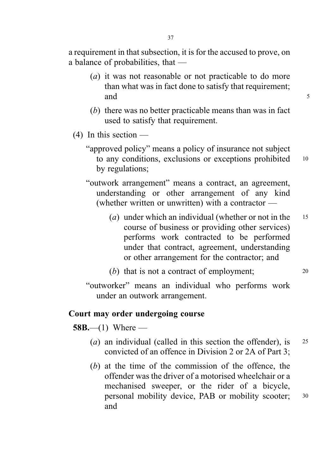a requirement in that subsection, it is for the accused to prove, on a balance of probabilities, that —

- (a) it was not reasonable or not practicable to do more than what was in fact done to satisfy that requirement; and 5
- (b) there was no better practicable means than was in fact used to satisfy that requirement.
- $(4)$  In this section
	- "approved policy" means a policy of insurance not subject to any conditions, exclusions or exceptions prohibited 10 by regulations;
	- "outwork arrangement" means a contract, an agreement, understanding or other arrangement of any kind (whether written or unwritten) with a contractor —
		- (a) under which an individual (whether or not in the  $15$ course of business or providing other services) performs work contracted to be performed under that contract, agreement, understanding or other arrangement for the contractor; and
		- (b) that is not a contract of employment; 20
	- "outworker" means an individual who performs work under an outwork arrangement.

# Court may order undergoing course

58B.—(1) Where —

- (a) an individual (called in this section the offender), is  $25$ convicted of an offence in Division 2 or 2A of Part 3;
- (b) at the time of the commission of the offence, the offender was the driver of a motorised wheelchair or a mechanised sweeper, or the rider of a bicycle, personal mobility device, PAB or mobility scooter; <sup>30</sup> and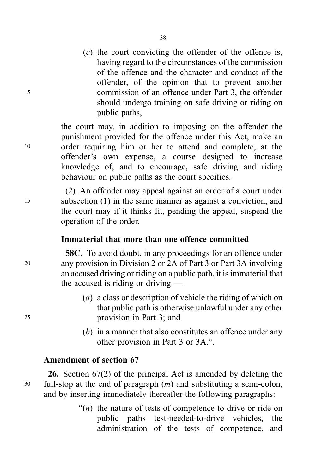$(c)$  the court convicting the offender of the offence is, having regard to the circumstances of the commission of the offence and the character and conduct of the offender, of the opinion that to prevent another <sup>5</sup> commission of an offence under Part 3, the offender should undergo training on safe driving or riding on public paths,

the court may, in addition to imposing on the offender the punishment provided for the offence under this Act, make an <sup>10</sup> order requiring him or her to attend and complete, at the offender's own expense, a course designed to increase knowledge of, and to encourage, safe driving and riding behaviour on public paths as the court specifies.

(2) An offender may appeal against an order of a court under <sup>15</sup> subsection (1) in the same manner as against a conviction, and the court may if it thinks fit, pending the appeal, suspend the operation of the order.

## Immaterial that more than one offence committed

58C. To avoid doubt, in any proceedings for an offence under <sup>20</sup> any provision in Division 2 or 2A of Part 3 or Part 3A involving an accused driving or riding on a public path, it is immaterial that the accused is riding or driving —

- (a) a class or description of vehicle the riding of which on that public path is otherwise unlawful under any other <sup>25</sup> provision in Part 3; and
	- (b) in a manner that also constitutes an offence under any other provision in Part 3 or 3A.".

# Amendment of section 67

26. Section 67(2) of the principal Act is amended by deleting the  $30$  full-stop at the end of paragraph  $(m)$  and substituting a semi-colon, and by inserting immediately thereafter the following paragraphs:

> " $(n)$  the nature of tests of competence to drive or ride on public paths test-needed-to-drive vehicles, the administration of the tests of competence, and

38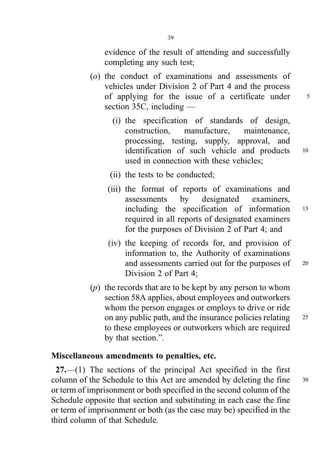evidence of the result of attending and successfully completing any such test;

- (o) the conduct of examinations and assessments of vehicles under Division 2 of Part 4 and the process of applying for the issue of a certificate under 5 section 35C, including —
	- (i) the specification of standards of design, construction, manufacture, maintenance, processing, testing, supply, approval, and identification of such vehicle and products <sup>10</sup> used in connection with these vehicles;
	- (ii) the tests to be conducted;
	- (iii) the format of reports of examinations and assessments by designated examiners, including the specification of information <sup>15</sup> required in all reports of designated examiners for the purposes of Division 2 of Part 4; and
	- (iv) the keeping of records for, and provision of information to, the Authority of examinations and assessments carried out for the purposes of 20 Division 2 of Part 4;
- (p) the records that are to be kept by any person to whom section 58A applies, about employees and outworkers whom the person engages or employs to drive or ride on any public path, and the insurance policies relating 25 to these employees or outworkers which are required by that section.".

### Miscellaneous amendments to penalties, etc.

 $27.$ —(1) The sections of the principal Act specified in the first column of the Schedule to this Act are amended by deleting the fine 30 or term of imprisonment or both specified in the second column of the Schedule opposite that section and substituting in each case the fine or term of imprisonment or both (as the case may be) specified in the third column of that Schedule.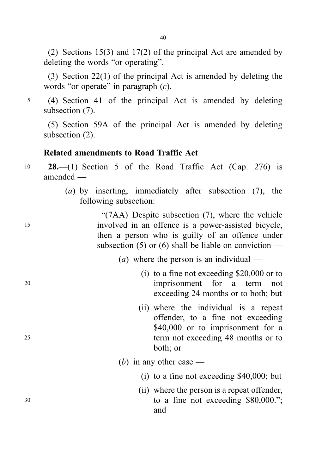(2) Sections 15(3) and 17(2) of the principal Act are amended by deleting the words "or operating".

(3) Section 22(1) of the principal Act is amended by deleting the words "or operate" in paragraph  $(c)$ .

<sup>5</sup> (4) Section 41 of the principal Act is amended by deleting subsection  $(7)$ .

(5) Section 59A of the principal Act is amended by deleting subsection (2).

# Related amendments to Road Traffic Act

- <sup>10</sup> 28.—(1) Section 5 of the Road Traffic Act (Cap. 276) is amended —
	- (a) by inserting, immediately after subsection (7), the following subsection:

"(7AA) Despite subsection (7), where the vehicle <sup>15</sup> involved in an offence is a power-assisted bicycle, then a person who is guilty of an offence under subsection (5) or (6) shall be liable on conviction —

(*a*) where the person is an individual —

- (i) to a fine not exceeding \$20,000 or to <sup>20</sup> imprisonment for a term not exceeding 24 months or to both; but
- (ii) where the individual is a repeat offender, to a fine not exceeding \$40,000 or to imprisonment for a <sup>25</sup> term not exceeding 48 months or to both; or
	- (b) in any other case  $-$ 
		- (i) to a fine not exceeding \$40,000; but
- (ii) where the person is a repeat offender, <sup>30</sup> to a fine not exceeding \$80,000."; and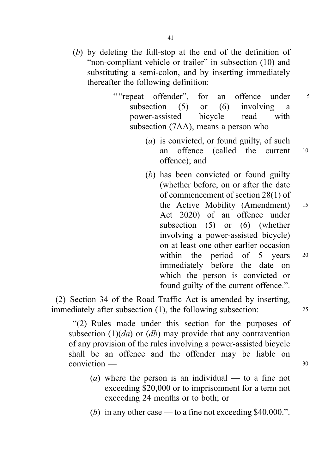- (b) by deleting the full-stop at the end of the definition of "non-compliant vehicle or trailer" in subsection (10) and substituting a semi-colon, and by inserting immediately thereafter the following definition:
	- " "repeat offender", for an offence under 5 subsection (5) or (6) involving a power-assisted bicycle read with subsection (7AA), means a person who —
		- (*a*) is convicted, or found guilty, of such an offence (called the current <sup>10</sup> offence); and
		- (b) has been convicted or found guilty (whether before, on or after the date of commencement of section 28(1) of the Active Mobility (Amendment) <sup>15</sup> Act 2020) of an offence under subsection (5) or (6) (whether involving a power-assisted bicycle) on at least one other earlier occasion within the period of 5 years 20 immediately before the date on which the person is convicted or found guilty of the current offence.".

(2) Section 34 of the Road Traffic Act is amended by inserting, immediately after subsection (1), the following subsection: <sup>25</sup>

"(2) Rules made under this section for the purposes of subsection  $(1)(da)$  or  $(db)$  may provide that any contravention of any provision of the rules involving a power-assisted bicycle shall be an offence and the offender may be liable on conviction — 30

- (a) where the person is an individual to a fine not exceeding \$20,000 or to imprisonment for a term not exceeding 24 months or to both; or
- (b) in any other case to a fine not exceeding  $$40,000$ .".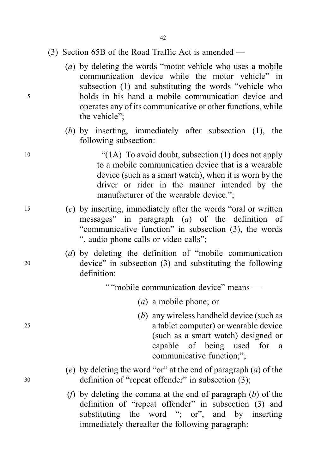- 42
- (3) Section 65B of the Road Traffic Act is amended —
- (a) by deleting the words "motor vehicle who uses a mobile communication device while the motor vehicle" in subsection (1) and substituting the words "vehicle who <sup>5</sup> holds in his hand a mobile communication device and operates any of its communicative or other functions, while the vehicle";
	- (b) by inserting, immediately after subsection (1), the following subsection:

<sup>10</sup> "(1A) To avoid doubt, subsection (1) does not apply to a mobile communication device that is a wearable device (such as a smart watch), when it is worn by the driver or rider in the manner intended by the manufacturer of the wearable device.";

<sup>15</sup> (c) by inserting, immediately after the words "oral or written messages" in paragraph (a) of the definition of "communicative function" in subsection (3), the words ", audio phone calls or video calls";

(d) by deleting the definition of "mobile communication <sup>20</sup> device" in subsection (3) and substituting the following definition:

" "mobile communication device" means —

- (a) a mobile phone; or
- (b) any wireless handheld device (such as <sup>25</sup> a tablet computer) or wearable device (such as a smart watch) designed or capable of being used for a communicative function;";
- (e) by deleting the word "or" at the end of paragraph  $(a)$  of the <sup>30</sup> definition of "repeat offender" in subsection (3);
	- (f) by deleting the comma at the end of paragraph  $(b)$  of the definition of "repeat offender" in subsection (3) and substituting the word "; or", and by inserting immediately thereafter the following paragraph: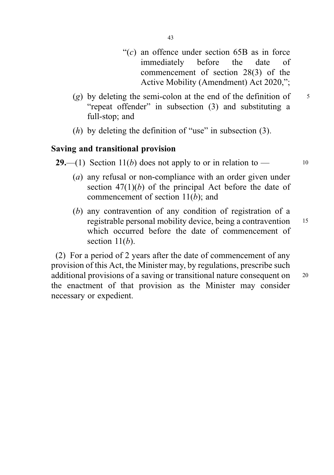- " $(c)$  an offence under section 65B as in force" immediately before the date of commencement of section 28(3) of the Active Mobility (Amendment) Act 2020,";
- (g) by deleting the semi-colon at the end of the definition of  $\frac{5}{5}$ "repeat offender" in subsection (3) and substituting a full-stop; and
- (*h*) by deleting the definition of "use" in subsection  $(3)$ .

# Saving and transitional provision

- **29.**—(1) Section 11(b) does not apply to or in relation to  $10$ 
	- (a) any refusal or non-compliance with an order given under section  $47(1)(b)$  of the principal Act before the date of commencement of section  $11(b)$ ; and
	- (b) any contravention of any condition of registration of a registrable personal mobility device, being a contravention <sup>15</sup> which occurred before the date of commencement of section  $11(b)$ .

(2) For a period of 2 years after the date of commencement of any provision of this Act, the Minister may, by regulations, prescribe such additional provisions of a saving or transitional nature consequent on <sup>20</sup> the enactment of that provision as the Minister may consider necessary or expedient.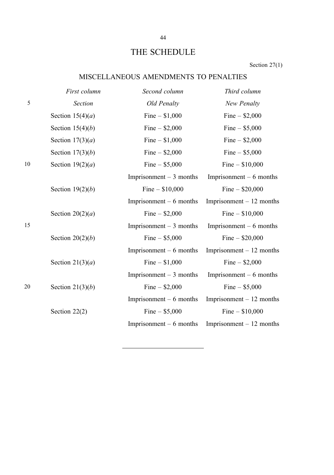# THE SCHEDULE

Section 27(1)

### MISCELLANEOUS AMENDMENTS TO PENALTIES

|    | First column       | Second column            | Third column              |
|----|--------------------|--------------------------|---------------------------|
| 5  | <b>Section</b>     | Old Penalty              | New Penalty               |
|    | Section $15(4)(a)$ | Fine $- $1,000$          | Fine $-$ \$2,000          |
|    | Section $15(4)(b)$ | Fine $-$ \$2,000         | Fine $-$ \$5,000          |
|    | Section $17(3)(a)$ | Fine $- $1,000$          | Fine $-$ \$2,000          |
|    | Section $17(3)(b)$ | Fine $-$ \$2,000         | Fine $-$ \$5,000          |
| 10 | Section $19(2)(a)$ | Fine $-$ \$5,000         | Fine $-$ \$10,000         |
|    |                    | Imprisonment $-3$ months | Imprisonment $-6$ months  |
|    | Section $19(2)(b)$ | Fine $-$ \$10,000        | Fine $-$ \$20,000         |
|    |                    | Imprisonment $-6$ months | Imprisonment $-12$ months |
|    | Section $20(2)(a)$ | Fine $-$ \$2,000         | Fine $-$ \$10,000         |
| 15 |                    | Imprisonment $-3$ months | Imprisonment $-6$ months  |
|    | Section $20(2)(b)$ | Fine $-$ \$5,000         | Fine $-$ \$20,000         |
|    |                    | Imprisonment $-6$ months | Imprisonment $-12$ months |
|    | Section $21(3)(a)$ | Fine $- $1,000$          | Fine $-$ \$2,000          |
|    |                    | Imprisonment $-3$ months | Imprisonment $-6$ months  |
| 20 | Section 21(3)(b)   | Fine $-$ \$2,000         | Fine $-$ \$5,000          |
|    |                    | Imprisonment $-6$ months | Imprisonment $-12$ months |
|    | Section 22(2)      | Fine $-$ \$5,000         | Fine $-$ \$10,000         |
|    |                    | Imprisonment $-6$ months | Imprisonment $-12$ months |
|    |                    |                          |                           |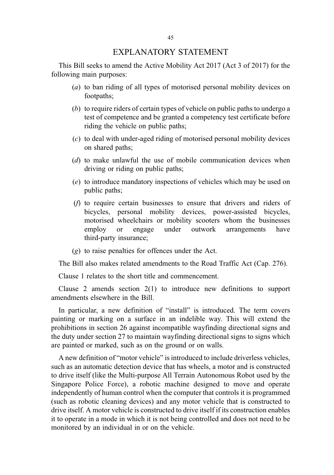## EXPLANATORY STATEMENT

This Bill seeks to amend the Active Mobility Act 2017 (Act 3 of 2017) for the following main purposes:

- (a) to ban riding of all types of motorised personal mobility devices on footpaths;
- (b) to require riders of certain types of vehicle on public paths to undergo a test of competence and be granted a competency test certificate before riding the vehicle on public paths;
- (c) to deal with under-aged riding of motorised personal mobility devices on shared paths;
- (d) to make unlawful the use of mobile communication devices when driving or riding on public paths;
- (e) to introduce mandatory inspections of vehicles which may be used on public paths;
- (f) to require certain businesses to ensure that drivers and riders of bicycles, personal mobility devices, power-assisted bicycles, motorised wheelchairs or mobility scooters whom the businesses employ or engage under outwork arrangements have third-party insurance;
- (g) to raise penalties for offences under the Act.

The Bill also makes related amendments to the Road Traffic Act (Cap. 276).

Clause 1 relates to the short title and commencement.

Clause 2 amends section 2(1) to introduce new definitions to support amendments elsewhere in the Bill.

In particular, a new definition of "install" is introduced. The term covers painting or marking on a surface in an indelible way. This will extend the prohibitions in section 26 against incompatible wayfinding directional signs and the duty under section 27 to maintain wayfinding directional signs to signs which are painted or marked, such as on the ground or on walls.

A new definition of "motor vehicle" is introduced to include driverless vehicles, such as an automatic detection device that has wheels, a motor and is constructed to drive itself (like the Multi-purpose All Terrain Autonomous Robot used by the Singapore Police Force), a robotic machine designed to move and operate independently of human control when the computer that controls it is programmed (such as robotic cleaning devices) and any motor vehicle that is constructed to drive itself. A motor vehicle is constructed to drive itself if its construction enables it to operate in a mode in which it is not being controlled and does not need to be monitored by an individual in or on the vehicle.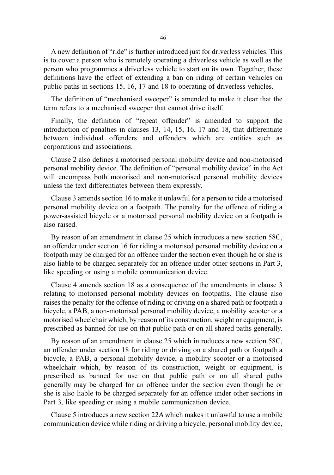A new definition of "ride" is further introduced just for driverless vehicles. This is to cover a person who is remotely operating a driverless vehicle as well as the person who programmes a driverless vehicle to start on its own. Together, these definitions have the effect of extending a ban on riding of certain vehicles on public paths in sections 15, 16, 17 and 18 to operating of driverless vehicles.

The definition of "mechanised sweeper" is amended to make it clear that the term refers to a mechanised sweeper that cannot drive itself.

Finally, the definition of "repeat offender" is amended to support the introduction of penalties in clauses 13, 14, 15, 16, 17 and 18, that differentiate between individual offenders and offenders which are entities such as corporations and associations.

Clause 2 also defines a motorised personal mobility device and non-motorised personal mobility device. The definition of "personal mobility device" in the Act will encompass both motorised and non-motorised personal mobility devices unless the text differentiates between them expressly.

Clause 3 amends section 16 to make it unlawful for a person to ride a motorised personal mobility device on a footpath. The penalty for the offence of riding a power-assisted bicycle or a motorised personal mobility device on a footpath is also raised.

By reason of an amendment in clause 25 which introduces a new section 58C, an offender under section 16 for riding a motorised personal mobility device on a footpath may be charged for an offence under the section even though he or she is also liable to be charged separately for an offence under other sections in Part 3, like speeding or using a mobile communication device.

Clause 4 amends section 18 as a consequence of the amendments in clause 3 relating to motorised personal mobility devices on footpaths. The clause also raises the penalty for the offence of riding or driving on a shared path or footpath a bicycle, a PAB, a non-motorised personal mobility device, a mobility scooter or a motorised wheelchair which, by reason of its construction, weight or equipment, is prescribed as banned for use on that public path or on all shared paths generally.

By reason of an amendment in clause 25 which introduces a new section 58C, an offender under section 18 for riding or driving on a shared path or footpath a bicycle, a PAB, a personal mobility device, a mobility scooter or a motorised wheelchair which, by reason of its construction, weight or equipment, is prescribed as banned for use on that public path or on all shared paths generally may be charged for an offence under the section even though he or she is also liable to be charged separately for an offence under other sections in Part 3, like speeding or using a mobile communication device.

Clause 5 introduces a new section 22A which makes it unlawful to use a mobile communication device while riding or driving a bicycle, personal mobility device,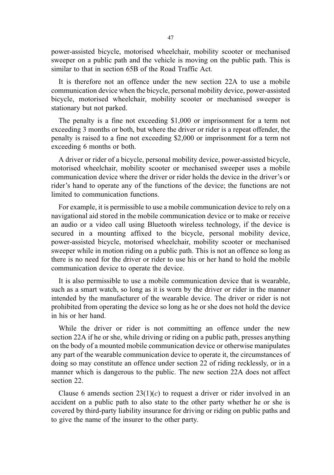power-assisted bicycle, motorised wheelchair, mobility scooter or mechanised sweeper on a public path and the vehicle is moving on the public path. This is similar to that in section 65B of the Road Traffic Act.

It is therefore not an offence under the new section 22A to use a mobile communication device when the bicycle, personal mobility device, power-assisted bicycle, motorised wheelchair, mobility scooter or mechanised sweeper is stationary but not parked.

The penalty is a fine not exceeding \$1,000 or imprisonment for a term not exceeding 3 months or both, but where the driver or rider is a repeat offender, the penalty is raised to a fine not exceeding \$2,000 or imprisonment for a term not exceeding 6 months or both.

A driver or rider of a bicycle, personal mobility device, power-assisted bicycle, motorised wheelchair, mobility scooter or mechanised sweeper uses a mobile communication device where the driver or rider holds the device in the driver's or rider's hand to operate any of the functions of the device; the functions are not limited to communication functions.

For example, it is permissible to use a mobile communication device to rely on a navigational aid stored in the mobile communication device or to make or receive an audio or a video call using Bluetooth wireless technology, if the device is secured in a mounting affixed to the bicycle, personal mobility device, power-assisted bicycle, motorised wheelchair, mobility scooter or mechanised sweeper while in motion riding on a public path. This is not an offence so long as there is no need for the driver or rider to use his or her hand to hold the mobile communication device to operate the device.

It is also permissible to use a mobile communication device that is wearable, such as a smart watch, so long as it is worn by the driver or rider in the manner intended by the manufacturer of the wearable device. The driver or rider is not prohibited from operating the device so long as he or she does not hold the device in his or her hand.

While the driver or rider is not committing an offence under the new section 22A if he or she, while driving or riding on a public path, presses anything on the body of a mounted mobile communication device or otherwise manipulates any part of the wearable communication device to operate it, the circumstances of doing so may constitute an offence under section 22 of riding recklessly, or in a manner which is dangerous to the public. The new section 22A does not affect section 22.

Clause 6 amends section  $23(1)(c)$  to request a driver or rider involved in an accident on a public path to also state to the other party whether he or she is covered by third-party liability insurance for driving or riding on public paths and to give the name of the insurer to the other party.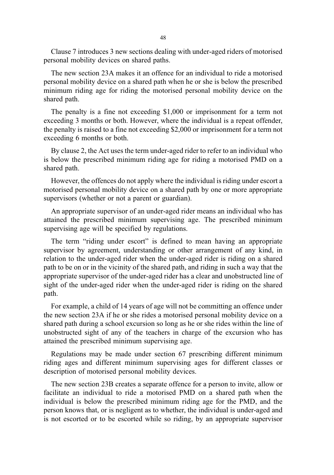Clause 7 introduces 3 new sections dealing with under-aged riders of motorised personal mobility devices on shared paths.

The new section 23A makes it an offence for an individual to ride a motorised personal mobility device on a shared path when he or she is below the prescribed minimum riding age for riding the motorised personal mobility device on the shared path.

The penalty is a fine not exceeding \$1,000 or imprisonment for a term not exceeding 3 months or both. However, where the individual is a repeat offender, the penalty is raised to a fine not exceeding \$2,000 or imprisonment for a term not exceeding 6 months or both.

By clause 2, the Act uses the term under-aged rider to refer to an individual who is below the prescribed minimum riding age for riding a motorised PMD on a shared path.

However, the offences do not apply where the individual is riding under escort a motorised personal mobility device on a shared path by one or more appropriate supervisors (whether or not a parent or guardian).

An appropriate supervisor of an under-aged rider means an individual who has attained the prescribed minimum supervising age. The prescribed minimum supervising age will be specified by regulations.

The term "riding under escort" is defined to mean having an appropriate supervisor by agreement, understanding or other arrangement of any kind, in relation to the under-aged rider when the under-aged rider is riding on a shared path to be on or in the vicinity of the shared path, and riding in such a way that the appropriate supervisor of the under-aged rider has a clear and unobstructed line of sight of the under-aged rider when the under-aged rider is riding on the shared path.

For example, a child of 14 years of age will not be committing an offence under the new section 23A if he or she rides a motorised personal mobility device on a shared path during a school excursion so long as he or she rides within the line of unobstructed sight of any of the teachers in charge of the excursion who has attained the prescribed minimum supervising age.

Regulations may be made under section 67 prescribing different minimum riding ages and different minimum supervising ages for different classes or description of motorised personal mobility devices.

The new section 23B creates a separate offence for a person to invite, allow or facilitate an individual to ride a motorised PMD on a shared path when the individual is below the prescribed minimum riding age for the PMD, and the person knows that, or is negligent as to whether, the individual is under-aged and is not escorted or to be escorted while so riding, by an appropriate supervisor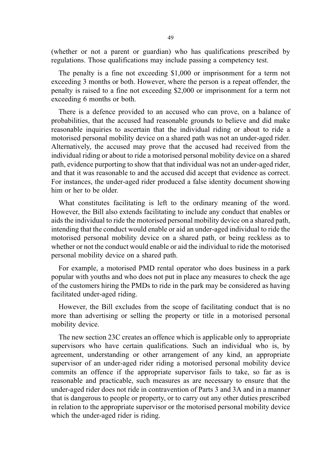(whether or not a parent or guardian) who has qualifications prescribed by regulations. Those qualifications may include passing a competency test.

The penalty is a fine not exceeding \$1,000 or imprisonment for a term not exceeding 3 months or both. However, where the person is a repeat offender, the penalty is raised to a fine not exceeding \$2,000 or imprisonment for a term not exceeding 6 months or both.

There is a defence provided to an accused who can prove, on a balance of probabilities, that the accused had reasonable grounds to believe and did make reasonable inquiries to ascertain that the individual riding or about to ride a motorised personal mobility device on a shared path was not an under-aged rider. Alternatively, the accused may prove that the accused had received from the individual riding or about to ride a motorised personal mobility device on a shared path, evidence purporting to show that that individual was not an under-aged rider, and that it was reasonable to and the accused did accept that evidence as correct. For instances, the under-aged rider produced a false identity document showing him or her to be older.

What constitutes facilitating is left to the ordinary meaning of the word. However, the Bill also extends facilitating to include any conduct that enables or aids the individual to ride the motorised personal mobility device on a shared path, intending that the conduct would enable or aid an under-aged individual to ride the motorised personal mobility device on a shared path, or being reckless as to whether or not the conduct would enable or aid the individual to ride the motorised personal mobility device on a shared path.

For example, a motorised PMD rental operator who does business in a park popular with youths and who does not put in place any measures to check the age of the customers hiring the PMDs to ride in the park may be considered as having facilitated under-aged riding.

However, the Bill excludes from the scope of facilitating conduct that is no more than advertising or selling the property or title in a motorised personal mobility device.

The new section 23C creates an offence which is applicable only to appropriate supervisors who have certain qualifications. Such an individual who is, by agreement, understanding or other arrangement of any kind, an appropriate supervisor of an under-aged rider riding a motorised personal mobility device commits an offence if the appropriate supervisor fails to take, so far as is reasonable and practicable, such measures as are necessary to ensure that the under-aged rider does not ride in contravention of Parts 3 and 3A and in a manner that is dangerous to people or property, or to carry out any other duties prescribed in relation to the appropriate supervisor or the motorised personal mobility device which the under-aged rider is riding.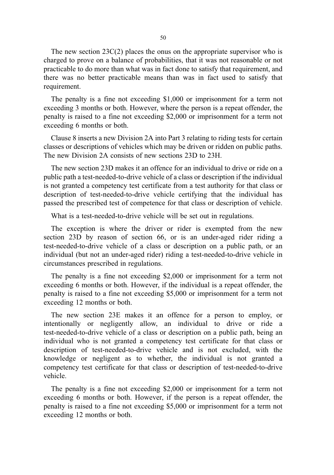The new section  $23C(2)$  places the onus on the appropriate supervisor who is charged to prove on a balance of probabilities, that it was not reasonable or not practicable to do more than what was in fact done to satisfy that requirement, and there was no better practicable means than was in fact used to satisfy that requirement.

The penalty is a fine not exceeding \$1,000 or imprisonment for a term not exceeding 3 months or both. However, where the person is a repeat offender, the penalty is raised to a fine not exceeding \$2,000 or imprisonment for a term not exceeding 6 months or both.

Clause 8 inserts a new Division 2A into Part 3 relating to riding tests for certain classes or descriptions of vehicles which may be driven or ridden on public paths. The new Division 2A consists of new sections 23D to 23H.

The new section 23D makes it an offence for an individual to drive or ride on a public path a test-needed-to-drive vehicle of a class or description if the individual is not granted a competency test certificate from a test authority for that class or description of test-needed-to-drive vehicle certifying that the individual has passed the prescribed test of competence for that class or description of vehicle.

What is a test-needed-to-drive vehicle will be set out in regulations.

The exception is where the driver or rider is exempted from the new section 23D by reason of section 66, or is an under-aged rider riding a test-needed-to-drive vehicle of a class or description on a public path, or an individual (but not an under-aged rider) riding a test-needed-to-drive vehicle in circumstances prescribed in regulations.

The penalty is a fine not exceeding \$2,000 or imprisonment for a term not exceeding 6 months or both. However, if the individual is a repeat offender, the penalty is raised to a fine not exceeding \$5,000 or imprisonment for a term not exceeding 12 months or both.

The new section 23E makes it an offence for a person to employ, or intentionally or negligently allow, an individual to drive or ride a test-needed-to-drive vehicle of a class or description on a public path, being an individual who is not granted a competency test certificate for that class or description of test-needed-to-drive vehicle and is not excluded, with the knowledge or negligent as to whether, the individual is not granted a competency test certificate for that class or description of test-needed-to-drive vehicle.

The penalty is a fine not exceeding \$2,000 or imprisonment for a term not exceeding 6 months or both. However, if the person is a repeat offender, the penalty is raised to a fine not exceeding \$5,000 or imprisonment for a term not exceeding 12 months or both.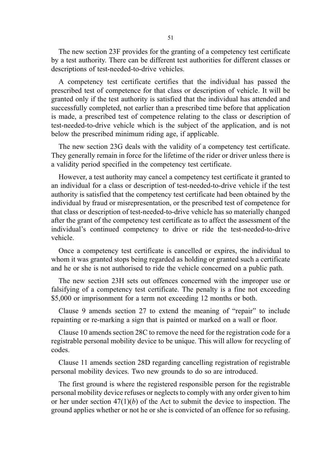The new section 23F provides for the granting of a competency test certificate by a test authority. There can be different test authorities for different classes or descriptions of test-needed-to-drive vehicles.

A competency test certificate certifies that the individual has passed the prescribed test of competence for that class or description of vehicle. It will be granted only if the test authority is satisfied that the individual has attended and successfully completed, not earlier than a prescribed time before that application is made, a prescribed test of competence relating to the class or description of test-needed-to-drive vehicle which is the subject of the application, and is not below the prescribed minimum riding age, if applicable.

The new section 23G deals with the validity of a competency test certificate. They generally remain in force for the lifetime of the rider or driver unless there is a validity period specified in the competency test certificate.

However, a test authority may cancel a competency test certificate it granted to an individual for a class or description of test-needed-to-drive vehicle if the test authority is satisfied that the competency test certificate had been obtained by the individual by fraud or misrepresentation, or the prescribed test of competence for that class or description of test-needed-to-drive vehicle has so materially changed after the grant of the competency test certificate as to affect the assessment of the individual's continued competency to drive or ride the test-needed-to-drive vehicle.

Once a competency test certificate is cancelled or expires, the individual to whom it was granted stops being regarded as holding or granted such a certificate and he or she is not authorised to ride the vehicle concerned on a public path.

The new section 23H sets out offences concerned with the improper use or falsifying of a competency test certificate. The penalty is a fine not exceeding \$5,000 or imprisonment for a term not exceeding 12 months or both.

Clause 9 amends section 27 to extend the meaning of "repair" to include repainting or re-marking a sign that is painted or marked on a wall or floor.

Clause 10 amends section 28C to remove the need for the registration code for a registrable personal mobility device to be unique. This will allow for recycling of codes.

Clause 11 amends section 28D regarding cancelling registration of registrable personal mobility devices. Two new grounds to do so are introduced.

The first ground is where the registered responsible person for the registrable personal mobility device refuses or neglects to comply with any order given to him or her under section  $47(1)(b)$  of the Act to submit the device to inspection. The ground applies whether or not he or she is convicted of an offence for so refusing.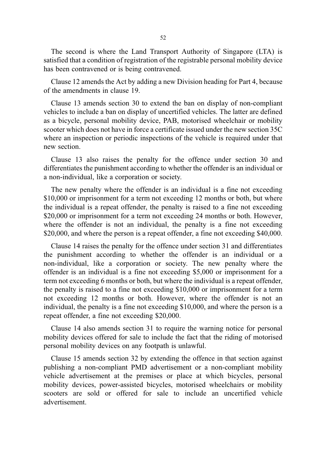The second is where the Land Transport Authority of Singapore (LTA) is satisfied that a condition of registration of the registrable personal mobility device has been contravened or is being contravened.

Clause 12 amends the Act by adding a new Division heading for Part 4, because of the amendments in clause 19.

Clause 13 amends section 30 to extend the ban on display of non-compliant vehicles to include a ban on display of uncertified vehicles. The latter are defined as a bicycle, personal mobility device, PAB, motorised wheelchair or mobility scooter which does not have in force a certificate issued under the new section 35C where an inspection or periodic inspections of the vehicle is required under that new section.

Clause 13 also raises the penalty for the offence under section 30 and differentiates the punishment according to whether the offender is an individual or a non-individual, like a corporation or society.

The new penalty where the offender is an individual is a fine not exceeding \$10,000 or imprisonment for a term not exceeding 12 months or both, but where the individual is a repeat offender, the penalty is raised to a fine not exceeding \$20,000 or imprisonment for a term not exceeding 24 months or both. However, where the offender is not an individual, the penalty is a fine not exceeding \$20,000, and where the person is a repeat offender, a fine not exceeding \$40,000.

Clause 14 raises the penalty for the offence under section 31 and differentiates the punishment according to whether the offender is an individual or a non-individual, like a corporation or society. The new penalty where the offender is an individual is a fine not exceeding \$5,000 or imprisonment for a term not exceeding 6 months or both, but where the individual is a repeat offender, the penalty is raised to a fine not exceeding \$10,000 or imprisonment for a term not exceeding 12 months or both. However, where the offender is not an individual, the penalty is a fine not exceeding \$10,000, and where the person is a repeat offender, a fine not exceeding \$20,000.

Clause 14 also amends section 31 to require the warning notice for personal mobility devices offered for sale to include the fact that the riding of motorised personal mobility devices on any footpath is unlawful.

Clause 15 amends section 32 by extending the offence in that section against publishing a non-compliant PMD advertisement or a non-compliant mobility vehicle advertisement at the premises or place at which bicycles, personal mobility devices, power-assisted bicycles, motorised wheelchairs or mobility scooters are sold or offered for sale to include an uncertified vehicle advertisement.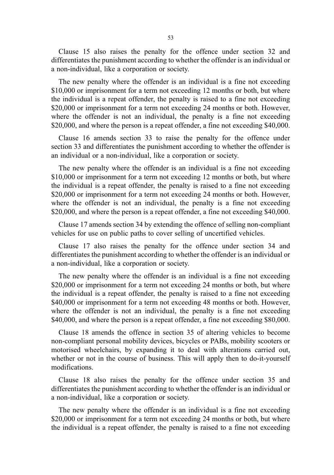Clause 15 also raises the penalty for the offence under section 32 and differentiates the punishment according to whether the offender is an individual or a non-individual, like a corporation or society.

The new penalty where the offender is an individual is a fine not exceeding \$10,000 or imprisonment for a term not exceeding 12 months or both, but where the individual is a repeat offender, the penalty is raised to a fine not exceeding \$20,000 or imprisonment for a term not exceeding 24 months or both. However, where the offender is not an individual, the penalty is a fine not exceeding \$20,000, and where the person is a repeat offender, a fine not exceeding \$40,000.

Clause 16 amends section 33 to raise the penalty for the offence under section 33 and differentiates the punishment according to whether the offender is an individual or a non-individual, like a corporation or society.

The new penalty where the offender is an individual is a fine not exceeding \$10,000 or imprisonment for a term not exceeding 12 months or both, but where the individual is a repeat offender, the penalty is raised to a fine not exceeding \$20,000 or imprisonment for a term not exceeding 24 months or both. However, where the offender is not an individual, the penalty is a fine not exceeding \$20,000, and where the person is a repeat offender, a fine not exceeding \$40,000.

Clause 17 amends section 34 by extending the offence of selling non-compliant vehicles for use on public paths to cover selling of uncertified vehicles.

Clause 17 also raises the penalty for the offence under section 34 and differentiates the punishment according to whether the offender is an individual or a non-individual, like a corporation or society.

The new penalty where the offender is an individual is a fine not exceeding \$20,000 or imprisonment for a term not exceeding 24 months or both, but where the individual is a repeat offender, the penalty is raised to a fine not exceeding \$40,000 or imprisonment for a term not exceeding 48 months or both. However, where the offender is not an individual, the penalty is a fine not exceeding \$40,000, and where the person is a repeat offender, a fine not exceeding \$80,000.

Clause 18 amends the offence in section 35 of altering vehicles to become non-compliant personal mobility devices, bicycles or PABs, mobility scooters or motorised wheelchairs, by expanding it to deal with alterations carried out, whether or not in the course of business. This will apply then to do-it-yourself modifications.

Clause 18 also raises the penalty for the offence under section 35 and differentiates the punishment according to whether the offender is an individual or a non-individual, like a corporation or society.

The new penalty where the offender is an individual is a fine not exceeding \$20,000 or imprisonment for a term not exceeding 24 months or both, but where the individual is a repeat offender, the penalty is raised to a fine not exceeding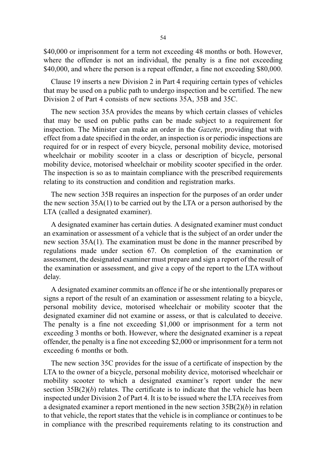\$40,000 or imprisonment for a term not exceeding 48 months or both. However, where the offender is not an individual, the penalty is a fine not exceeding \$40,000, and where the person is a repeat offender, a fine not exceeding \$80,000.

Clause 19 inserts a new Division 2 in Part 4 requiring certain types of vehicles that may be used on a public path to undergo inspection and be certified. The new Division 2 of Part 4 consists of new sections 35A, 35B and 35C.

The new section 35A provides the means by which certain classes of vehicles that may be used on public paths can be made subject to a requirement for inspection. The Minister can make an order in the Gazette, providing that with effect from a date specified in the order, an inspection is or periodic inspections are required for or in respect of every bicycle, personal mobility device, motorised wheelchair or mobility scooter in a class or description of bicycle, personal mobility device, motorised wheelchair or mobility scooter specified in the order. The inspection is so as to maintain compliance with the prescribed requirements relating to its construction and condition and registration marks.

The new section 35B requires an inspection for the purposes of an order under the new section 35A(1) to be carried out by the LTA or a person authorised by the LTA (called a designated examiner).

A designated examiner has certain duties. A designated examiner must conduct an examination or assessment of a vehicle that is the subject of an order under the new section 35A(1). The examination must be done in the manner prescribed by regulations made under section 67. On completion of the examination or assessment, the designated examiner must prepare and sign a report of the result of the examination or assessment, and give a copy of the report to the LTA without delay.

A designated examiner commits an offence if he or she intentionally prepares or signs a report of the result of an examination or assessment relating to a bicycle, personal mobility device, motorised wheelchair or mobility scooter that the designated examiner did not examine or assess, or that is calculated to deceive. The penalty is a fine not exceeding \$1,000 or imprisonment for a term not exceeding 3 months or both. However, where the designated examiner is a repeat offender, the penalty is a fine not exceeding \$2,000 or imprisonment for a term not exceeding 6 months or both.

The new section 35C provides for the issue of a certificate of inspection by the LTA to the owner of a bicycle, personal mobility device, motorised wheelchair or mobility scooter to which a designated examiner's report under the new section  $35B(2)(b)$  relates. The certificate is to indicate that the vehicle has been inspected under Division 2 of Part 4. It is to be issued where the LTA receives from a designated examiner a report mentioned in the new section  $35B(2)(b)$  in relation to that vehicle, the report states that the vehicle is in compliance or continues to be in compliance with the prescribed requirements relating to its construction and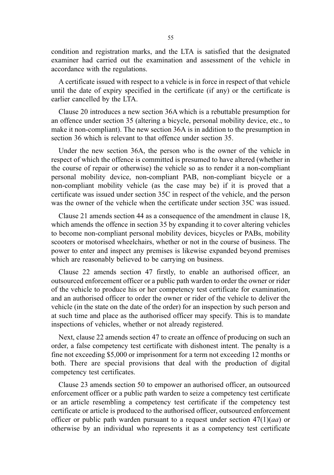condition and registration marks, and the LTA is satisfied that the designated examiner had carried out the examination and assessment of the vehicle in accordance with the regulations.

A certificate issued with respect to a vehicle is in force in respect of that vehicle until the date of expiry specified in the certificate (if any) or the certificate is earlier cancelled by the LTA.

Clause 20 introduces a new section 36A which is a rebuttable presumption for an offence under section 35 (altering a bicycle, personal mobility device, etc., to make it non-compliant). The new section 36A is in addition to the presumption in section 36 which is relevant to that offence under section 35.

Under the new section 36A, the person who is the owner of the vehicle in respect of which the offence is committed is presumed to have altered (whether in the course of repair or otherwise) the vehicle so as to render it a non-compliant personal mobility device, non-compliant PAB, non-compliant bicycle or a non-compliant mobility vehicle (as the case may be) if it is proved that a certificate was issued under section 35C in respect of the vehicle, and the person was the owner of the vehicle when the certificate under section 35C was issued.

Clause 21 amends section 44 as a consequence of the amendment in clause 18, which amends the offence in section 35 by expanding it to cover altering vehicles to become non-compliant personal mobility devices, bicycles or PABs, mobility scooters or motorised wheelchairs, whether or not in the course of business. The power to enter and inspect any premises is likewise expanded beyond premises which are reasonably believed to be carrying on business.

Clause 22 amends section 47 firstly, to enable an authorised officer, an outsourced enforcement officer or a public path warden to order the owner or rider of the vehicle to produce his or her competency test certificate for examination, and an authorised officer to order the owner or rider of the vehicle to deliver the vehicle (in the state on the date of the order) for an inspection by such person and at such time and place as the authorised officer may specify. This is to mandate inspections of vehicles, whether or not already registered.

Next, clause 22 amends section 47 to create an offence of producing on such an order, a false competency test certificate with dishonest intent. The penalty is a fine not exceeding \$5,000 or imprisonment for a term not exceeding 12 months or both. There are special provisions that deal with the production of digital competency test certificates.

Clause 23 amends section 50 to empower an authorised officer, an outsourced enforcement officer or a public path warden to seize a competency test certificate or an article resembling a competency test certificate if the competency test certificate or article is produced to the authorised officer, outsourced enforcement officer or public path warden pursuant to a request under section  $47(1)(aa)$  or otherwise by an individual who represents it as a competency test certificate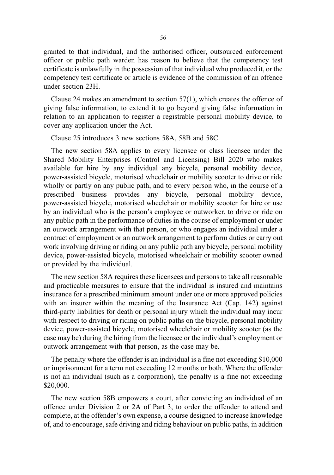granted to that individual, and the authorised officer, outsourced enforcement officer or public path warden has reason to believe that the competency test certificate is unlawfully in the possession of that individual who produced it, or the competency test certificate or article is evidence of the commission of an offence under section 23H.

Clause 24 makes an amendment to section 57(1), which creates the offence of giving false information, to extend it to go beyond giving false information in relation to an application to register a registrable personal mobility device, to cover any application under the Act.

Clause 25 introduces 3 new sections 58A, 58B and 58C.

The new section 58A applies to every licensee or class licensee under the Shared Mobility Enterprises (Control and Licensing) Bill 2020 who makes available for hire by any individual any bicycle, personal mobility device, power-assisted bicycle, motorised wheelchair or mobility scooter to drive or ride wholly or partly on any public path, and to every person who, in the course of a prescribed business provides any bicycle, personal mobility device, power-assisted bicycle, motorised wheelchair or mobility scooter for hire or use by an individual who is the person's employee or outworker, to drive or ride on any public path in the performance of duties in the course of employment or under an outwork arrangement with that person, or who engages an individual under a contract of employment or an outwork arrangement to perform duties or carry out work involving driving or riding on any public path any bicycle, personal mobility device, power-assisted bicycle, motorised wheelchair or mobility scooter owned or provided by the individual.

The new section 58A requires these licensees and persons to take all reasonable and practicable measures to ensure that the individual is insured and maintains insurance for a prescribed minimum amount under one or more approved policies with an insurer within the meaning of the Insurance Act (Cap. 142) against third-party liabilities for death or personal injury which the individual may incur with respect to driving or riding on public paths on the bicycle, personal mobility device, power-assisted bicycle, motorised wheelchair or mobility scooter (as the case may be) during the hiring from the licensee or the individual's employment or outwork arrangement with that person, as the case may be.

The penalty where the offender is an individual is a fine not exceeding \$10,000 or imprisonment for a term not exceeding 12 months or both. Where the offender is not an individual (such as a corporation), the penalty is a fine not exceeding \$20,000.

The new section 58B empowers a court, after convicting an individual of an offence under Division 2 or 2A of Part 3, to order the offender to attend and complete, at the offender's own expense, a course designed to increase knowledge of, and to encourage, safe driving and riding behaviour on public paths, in addition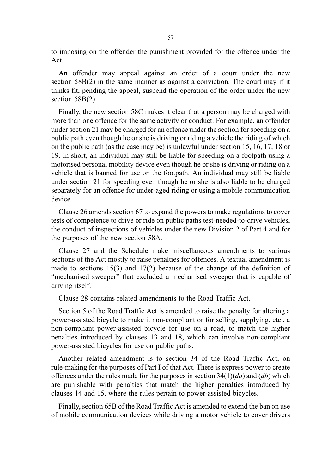to imposing on the offender the punishment provided for the offence under the Act.

An offender may appeal against an order of a court under the new section 58B(2) in the same manner as against a conviction. The court may if it thinks fit, pending the appeal, suspend the operation of the order under the new section 58B(2).

Finally, the new section 58C makes it clear that a person may be charged with more than one offence for the same activity or conduct. For example, an offender under section 21 may be charged for an offence under the section for speeding on a public path even though he or she is driving or riding a vehicle the riding of which on the public path (as the case may be) is unlawful under section 15, 16, 17, 18 or 19. In short, an individual may still be liable for speeding on a footpath using a motorised personal mobility device even though he or she is driving or riding on a vehicle that is banned for use on the footpath. An individual may still be liable under section 21 for speeding even though he or she is also liable to be charged separately for an offence for under-aged riding or using a mobile communication device.

Clause 26 amends section 67 to expand the powers to make regulations to cover tests of competence to drive or ride on public paths test-needed-to-drive vehicles, the conduct of inspections of vehicles under the new Division 2 of Part 4 and for the purposes of the new section 58A.

Clause 27 and the Schedule make miscellaneous amendments to various sections of the Act mostly to raise penalties for offences. A textual amendment is made to sections 15(3) and 17(2) because of the change of the definition of "mechanised sweeper" that excluded a mechanised sweeper that is capable of driving itself.

Clause 28 contains related amendments to the Road Traffic Act.

Section 5 of the Road Traffic Act is amended to raise the penalty for altering a power-assisted bicycle to make it non-compliant or for selling, supplying, etc., a non-compliant power-assisted bicycle for use on a road, to match the higher penalties introduced by clauses 13 and 18, which can involve non-compliant power-assisted bicycles for use on public paths.

Another related amendment is to section 34 of the Road Traffic Act, on rule-making for the purposes of Part I of that Act. There is express power to create offences under the rules made for the purposes in section  $34(1)(da)$  and  $(db)$  which are punishable with penalties that match the higher penalties introduced by clauses 14 and 15, where the rules pertain to power-assisted bicycles.

Finally, section 65B of the Road Traffic Act is amended to extend the ban on use of mobile communication devices while driving a motor vehicle to cover drivers